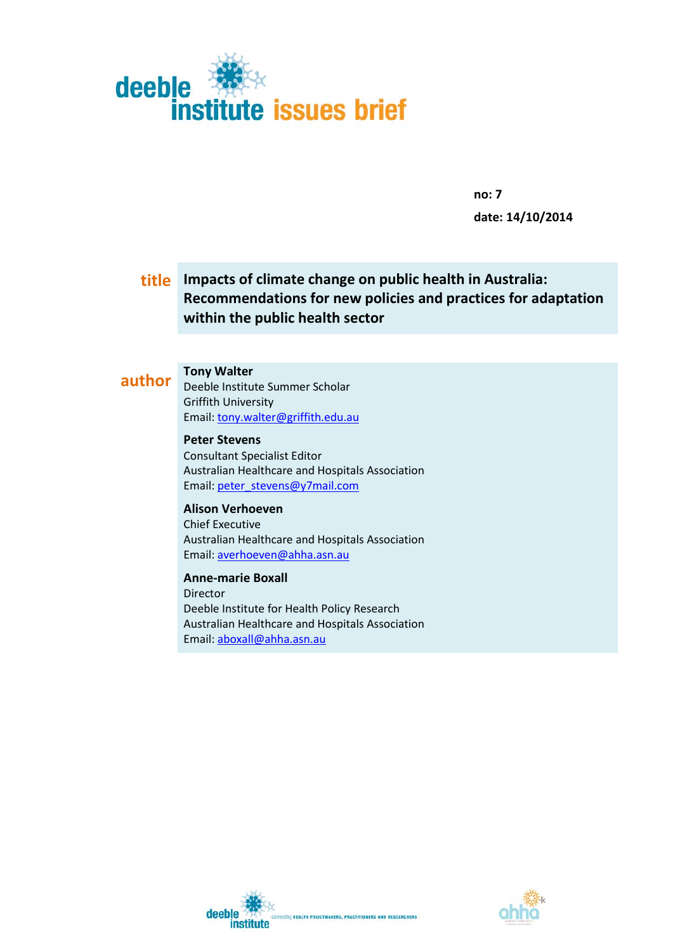

**no: 7 date: 14/10/2014**

### **title Impacts of climate change on public health in Australia: Recommendations for new policies and practices for adaptation within the public health sector**

# **author Tony Walter**

Deeble Institute Summer Scholar Griffith University Email[: tony.walter@griffith.edu.au](mailto:tony.walter@griffith.edu.au)

**Peter Stevens**  Consultant Specialist Editor Australian Healthcare and Hospitals Association Email[: peter\\_stevens@y7mail.com](mailto:peter_stevens@y7mail.com)

**Alison Verhoeven** Chief Executive Australian Healthcare and Hospitals Association Email[: averhoeven@ahha.asn.au](mailto:averhoeven@ahha.asn.au)

**Anne-marie Boxall** Director Deeble Institute for Health Policy Research Australian Healthcare and Hospitals Association Email[: aboxall@ahha.asn.au](mailto:aboxall@ahha.asn.au)



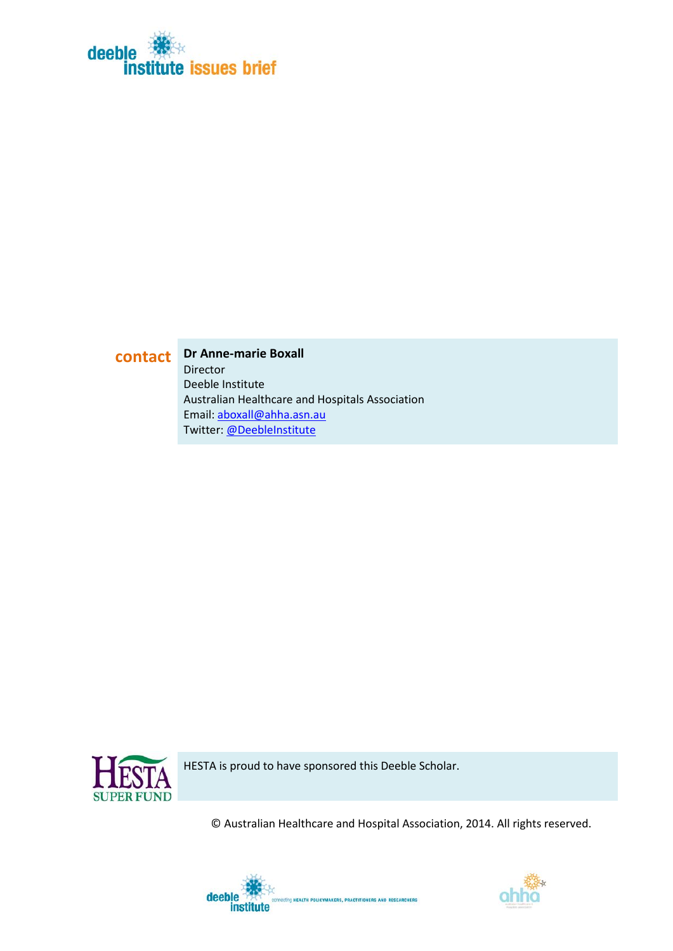

**contact Dr Anne-marie Boxall** Director Deeble Institute Australian Healthcare and Hospitals Association Email[: aboxall@ahha.asn.au](mailto:aboxall@ahha.asn.au) Twitter: [@DeebleInstitute](http://twitter.com/DeebleInstitute)



HESTA is proud to have sponsored this Deeble Scholar.

© Australian Healthcare and Hospital Association, 2014. All rights reserved.



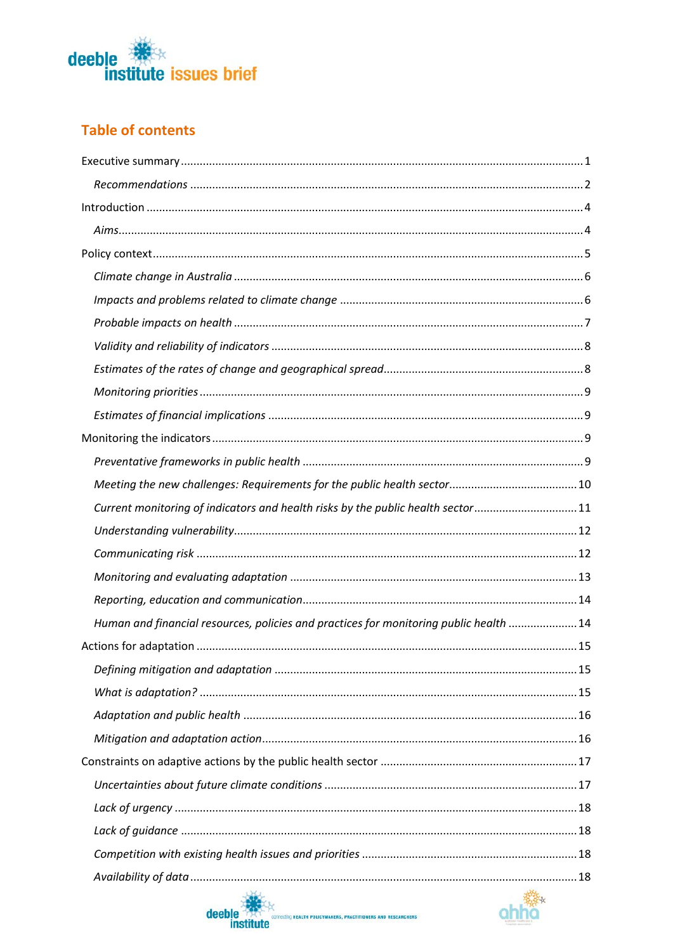

### **Table of contents**

| Current monitoring of indicators and health risks by the public health sector11        |  |
|----------------------------------------------------------------------------------------|--|
|                                                                                        |  |
|                                                                                        |  |
|                                                                                        |  |
|                                                                                        |  |
| Human and financial resources, policies and practices for monitoring public health  14 |  |
|                                                                                        |  |
|                                                                                        |  |
|                                                                                        |  |
|                                                                                        |  |
|                                                                                        |  |
|                                                                                        |  |
|                                                                                        |  |
|                                                                                        |  |
|                                                                                        |  |
|                                                                                        |  |
|                                                                                        |  |
| <b>CONTRACTOR</b>                                                                      |  |



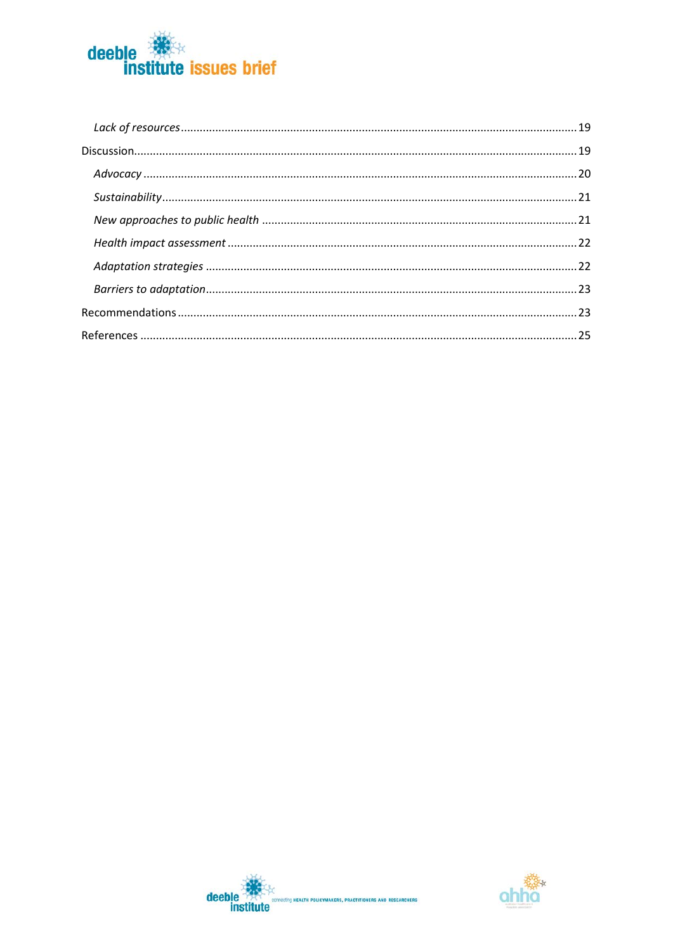



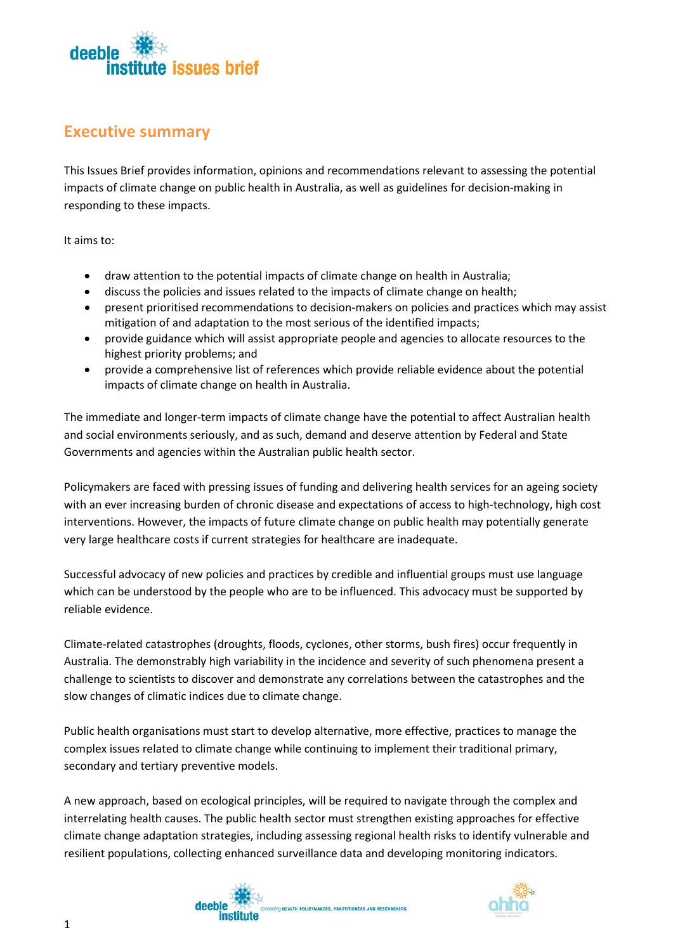

### <span id="page-4-0"></span>**Executive summary**

This Issues Brief provides information, opinions and recommendations relevant to assessing the potential impacts of climate change on public health in Australia, as well as guidelines for decision-making in responding to these impacts.

It aims to:

- draw attention to the potential impacts of climate change on health in Australia;
- discuss the policies and issues related to the impacts of climate change on health;
- present prioritised recommendations to decision-makers on policies and practices which may assist mitigation of and adaptation to the most serious of the identified impacts;
- provide guidance which will assist appropriate people and agencies to allocate resources to the highest priority problems; and
- provide a comprehensive list of references which provide reliable evidence about the potential impacts of climate change on health in Australia.

The immediate and longer-term impacts of climate change have the potential to affect Australian health and social environments seriously, and as such, demand and deserve attention by Federal and State Governments and agencies within the Australian public health sector.

Policymakers are faced with pressing issues of funding and delivering health services for an ageing society with an ever increasing burden of chronic disease and expectations of access to high-technology, high cost interventions. However, the impacts of future climate change on public health may potentially generate very large healthcare costs if current strategies for healthcare are inadequate.

Successful advocacy of new policies and practices by credible and influential groups must use language which can be understood by the people who are to be influenced. This advocacy must be supported by reliable evidence.

Climate-related catastrophes (droughts, floods, cyclones, other storms, bush fires) occur frequently in Australia. The demonstrably high variability in the incidence and severity of such phenomena present a challenge to scientists to discover and demonstrate any correlations between the catastrophes and the slow changes of climatic indices due to climate change.

Public health organisations must start to develop alternative, more effective, practices to manage the complex issues related to climate change while continuing to implement their traditional primary, secondary and tertiary preventive models.

A new approach, based on ecological principles, will be required to navigate through the complex and interrelating health causes. The public health sector must strengthen existing approaches for effective climate change adaptation strategies, including assessing regional health risks to identify vulnerable and resilient populations, collecting enhanced surveillance data and developing monitoring indicators.



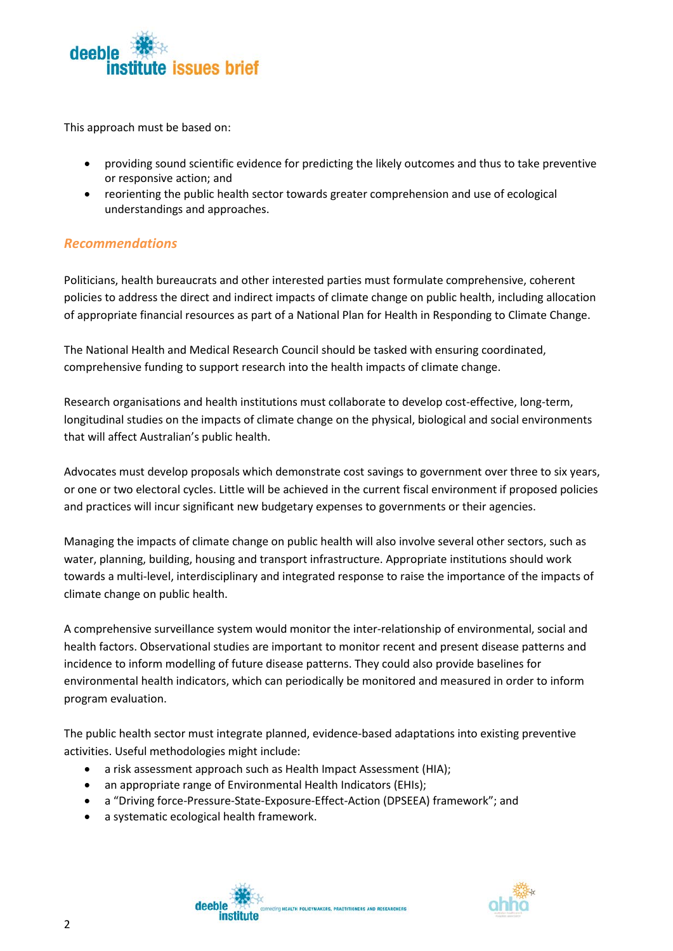

This approach must be based on:

- providing sound scientific evidence for predicting the likely outcomes and thus to take preventive or responsive action; and
- reorienting the public health sector towards greater comprehension and use of ecological understandings and approaches.

#### <span id="page-5-0"></span>*Recommendations*

Politicians, health bureaucrats and other interested parties must formulate comprehensive, coherent policies to address the direct and indirect impacts of climate change on public health, including allocation of appropriate financial resources as part of a National Plan for Health in Responding to Climate Change.

The National Health and Medical Research Council should be tasked with ensuring coordinated, comprehensive funding to support research into the health impacts of climate change.

Research organisations and health institutions must collaborate to develop cost-effective, long-term, longitudinal studies on the impacts of climate change on the physical, biological and social environments that will affect Australian's public health.

Advocates must develop proposals which demonstrate cost savings to government over three to six years, or one or two electoral cycles. Little will be achieved in the current fiscal environment if proposed policies and practices will incur significant new budgetary expenses to governments or their agencies.

Managing the impacts of climate change on public health will also involve several other sectors, such as water, planning, building, housing and transport infrastructure. Appropriate institutions should work towards a multi-level, interdisciplinary and integrated response to raise the importance of the impacts of climate change on public health.

A comprehensive surveillance system would monitor the inter-relationship of environmental, social and health factors. Observational studies are important to monitor recent and present disease patterns and incidence to inform modelling of future disease patterns. They could also provide baselines for environmental health indicators, which can periodically be monitored and measured in order to inform program evaluation.

The public health sector must integrate planned, evidence-based adaptations into existing preventive activities. Useful methodologies might include:

- a risk assessment approach such as Health Impact Assessment (HIA);
- an appropriate range of Environmental Health Indicators (EHIs);
- a "Driving force-Pressure-State-Exposure-Effect-Action (DPSEEA) framework"; and
- a systematic ecological health framework.

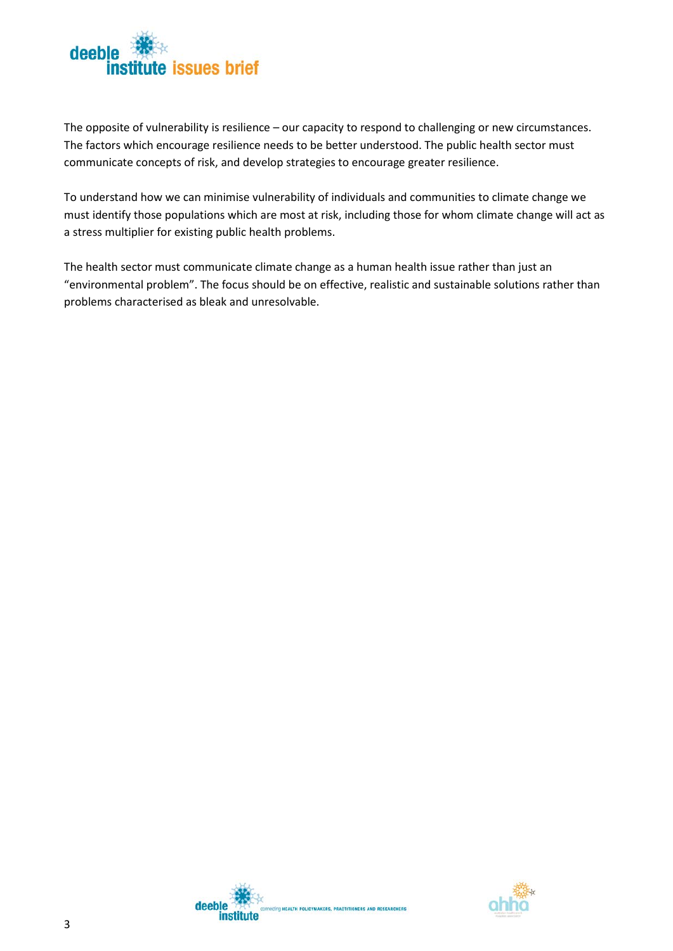

The opposite of vulnerability is resilience – our capacity to respond to challenging or new circumstances. The factors which encourage resilience needs to be better understood. The public health sector must communicate concepts of risk, and develop strategies to encourage greater resilience.

To understand how we can minimise vulnerability of individuals and communities to climate change we must identify those populations which are most at risk, including those for whom climate change will act as a stress multiplier for existing public health problems.

The health sector must communicate climate change as a human health issue rather than just an "environmental problem". The focus should be on effective, realistic and sustainable solutions rather than problems characterised as bleak and unresolvable.



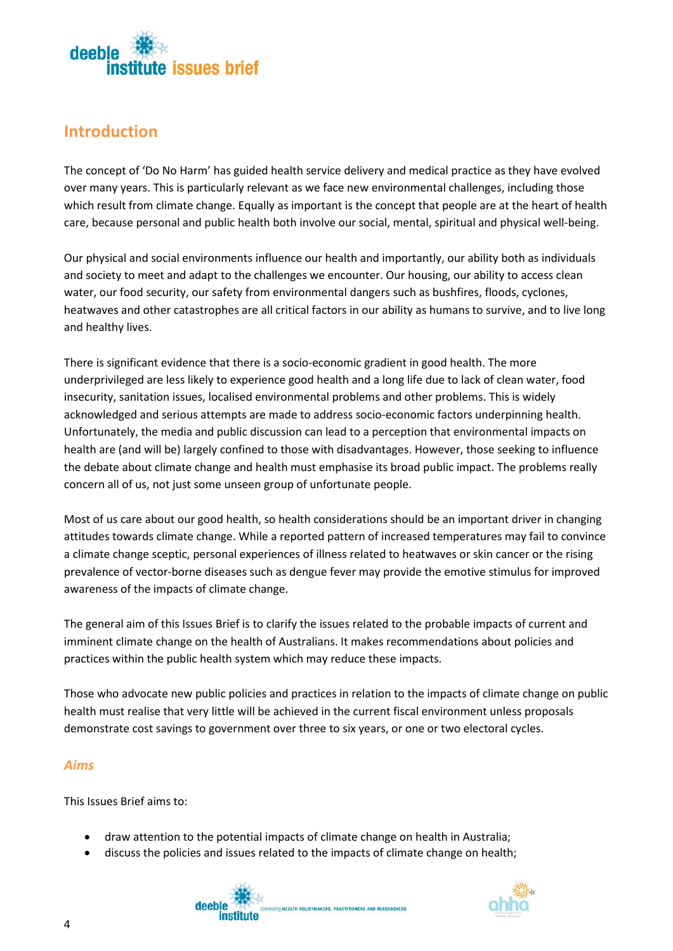

## <span id="page-7-0"></span>**Introduction**

The concept of 'Do No Harm' has guided health service delivery and medical practice as they have evolved over many years. This is particularly relevant as we face new environmental challenges, including those which result from climate change. Equally as important is the concept that people are at the heart of health care, because personal and public health both involve our social, mental, spiritual and physical well-being.

Our physical and social environments influence our health and importantly, our ability both as individuals and society to meet and adapt to the challenges we encounter. Our housing, our ability to access clean water, our food security, our safety from environmental dangers such as bushfires, floods, cyclones, heatwaves and other catastrophes are all critical factors in our ability as humans to survive, and to live long and healthy lives.

There is significant evidence that there is a socio-economic gradient in good health. The more underprivileged are less likely to experience good health and a long life due to lack of clean water, food insecurity, sanitation issues, localised environmental problems and other problems. This is widely acknowledged and serious attempts are made to address socio-economic factors underpinning health. Unfortunately, the media and public discussion can lead to a perception that environmental impacts on health are (and will be) largely confined to those with disadvantages. However, those seeking to influence the debate about climate change and health must emphasise its broad public impact. The problems really concern all of us, not just some unseen group of unfortunate people.

Most of us care about our good health, so health considerations should be an important driver in changing attitudes towards climate change. While a reported pattern of increased temperatures may fail to convince a climate change sceptic, personal experiences of illness related to heatwaves or skin cancer or the rising prevalence of vector-borne diseases such as dengue fever may provide the emotive stimulus for improved awareness of the impacts of climate change.

The general aim of this Issues Brief is to clarify the issues related to the probable impacts of current and imminent climate change on the health of Australians. It makes recommendations about policies and practices within the public health system which may reduce these impacts.

Those who advocate new public policies and practices in relation to the impacts of climate change on public health must realise that very little will be achieved in the current fiscal environment unless proposals demonstrate cost savings to government over three to six years, or one or two electoral cycles.

**CING HEALTH POLICYMAKERS, PRACTITIONERS AND RESEARCHERS** 

### <span id="page-7-1"></span>*Aims*

This Issues Brief aims to:

- draw attention to the potential impacts of climate change on health in Australia;
- discuss the policies and issues related to the impacts of climate change on health;

deeble

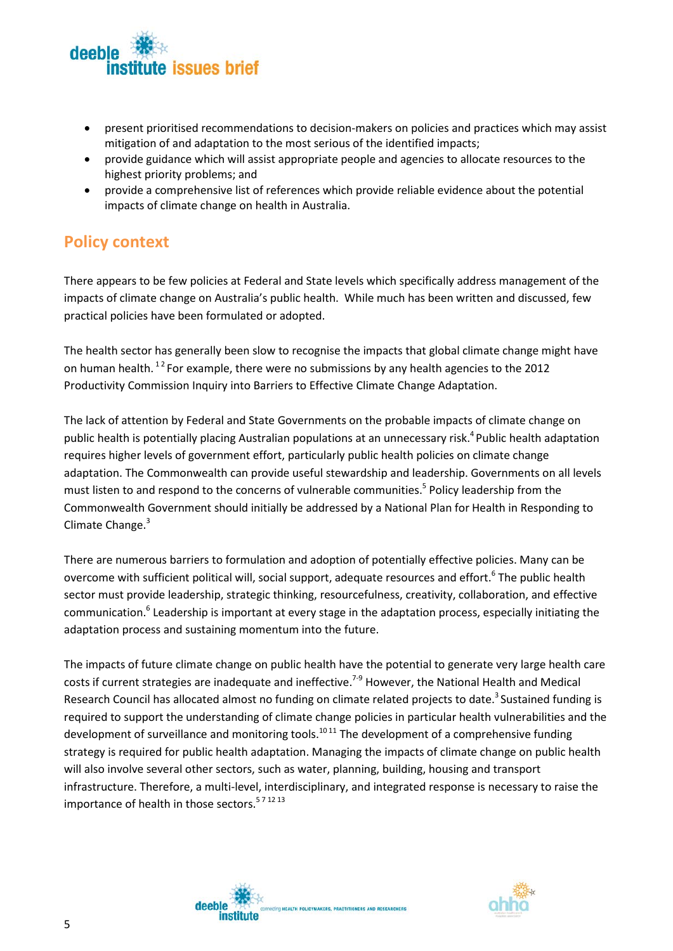

- present prioritised recommendations to decision-makers on policies and practices which may assist mitigation of and adaptation to the most serious of the identified impacts;
- provide guidance which will assist appropriate people and agencies to allocate resources to the highest priority problems; and
- provide a comprehensive list of references which provide reliable evidence about the potential impacts of climate change on health in Australia.

### <span id="page-8-0"></span>**Policy context**

There appears to be few policies at Federal and State levels which specifically address management of the impacts of climate change on Australia's public health. While much has been written and discussed, few practical policies have been formulated or adopted.

The health sector has generally been slow to recognise the impacts that global climate change might have on human health. <sup>12</sup> For example, there were no submissions by any health agencies to the 2012 Productivity Commission Inquiry into Barriers to Effective Climate Change Adaptation.

The lack of attention by Federal and State Governments on the probable impacts of climate change on public health is potentially placing Australian populations at an unnecessary risk.<sup>4</sup> Public health adaptation requires higher levels of government effort, particularly public health policies on climate change adaptation. The Commonwealth can provide useful stewardship and leadership. Governments on all levels must listen to and respond to the concerns of vulnerable communities. <sup>5</sup> Policy leadership from the Commonwealth Government should initially be addressed by a National Plan for Health in Responding to Climate Change.<sup>3</sup>

There are numerous barriers to formulation and adoption of potentially effective policies. Many can be overcome with sufficient political will, social support, adequate resources and effort.<sup>6</sup> The public health sector must provide leadership, strategic thinking, resourcefulness, creativity, collaboration, and effective communication.6 Leadership is important at every stage in the adaptation process, especially initiating the adaptation process and sustaining momentum into the future.

The impacts of future climate change on public health have the potential to generate very large health care costs if current strategies are inadequate and ineffective.<sup>7-9</sup> However, the National Health and Medical Research Council has allocated almost no funding on climate related projects to date.<sup>3</sup> Sustained funding is required to support the understanding of climate change policies in particular health vulnerabilities and the development of surveillance and monitoring tools.<sup>10 11</sup> The development of a comprehensive funding strategy is required for public health adaptation. Managing the impacts of climate change on public health will also involve several other sectors, such as water, planning, building, housing and transport infrastructure. Therefore, a multi-level, interdisciplinary, and integrated response is necessary to raise the importance of health in those sectors.<sup>571213</sup>



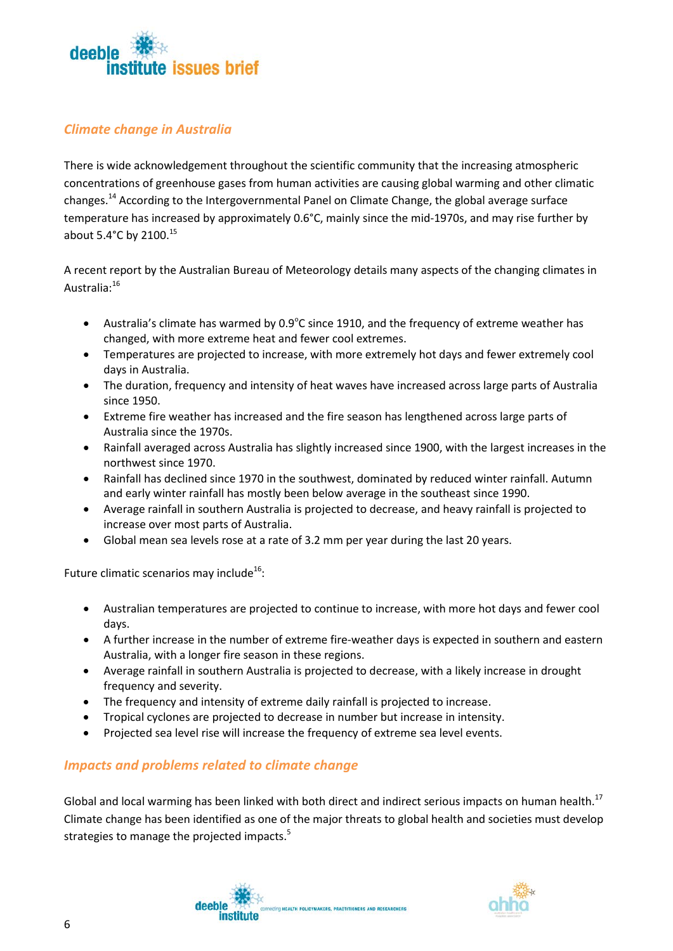

### <span id="page-9-0"></span>*Climate change in Australia*

There is wide acknowledgement throughout the scientific community that the increasing atmospheric concentrations of greenhouse gases from human activities are causing global warming and other climatic changes.14 According to the Intergovernmental Panel on Climate Change, the global average surface temperature has increased by approximately 0.6°C, mainly since the mid-1970s, and may rise further by about 5.4°C by 2100.<sup>15</sup>

A recent report by the Australian Bureau of Meteorology details many aspects of the changing climates in Australia:<sup>16</sup>

- Australia's climate has warmed by  $0.9^{\circ}$ C since 1910, and the frequency of extreme weather has changed, with more extreme heat and fewer cool extremes.
- Temperatures are projected to increase, with more extremely hot days and fewer extremely cool days in Australia.
- The duration, frequency and intensity of heat waves have increased across large parts of Australia since 1950.
- Extreme fire weather has increased and the fire season has lengthened across large parts of Australia since the 1970s.
- Rainfall averaged across Australia has slightly increased since 1900, with the largest increases in the northwest since 1970.
- Rainfall has declined since 1970 in the southwest, dominated by reduced winter rainfall. Autumn and early winter rainfall has mostly been below average in the southeast since 1990.
- Average rainfall in southern Australia is projected to decrease, and heavy rainfall is projected to increase over most parts of Australia.
- Global mean sea levels rose at a rate of 3.2 mm per year during the last 20 years.

Future climatic scenarios may include<sup>16</sup>:

- Australian temperatures are projected to continue to increase, with more hot days and fewer cool days.
- A further increase in the number of extreme fire-weather days is expected in southern and eastern Australia, with a longer fire season in these regions.
- Average rainfall in southern Australia is projected to decrease, with a likely increase in drought frequency and severity.
- The frequency and intensity of extreme daily rainfall is projected to increase.
- Tropical cyclones are projected to decrease in number but increase in intensity.
- Projected sea level rise will increase the frequency of extreme sea level events.

### <span id="page-9-1"></span>*Impacts and problems related to climate change*

Global and local warming has been linked with both direct and indirect serious impacts on human health.<sup>17</sup> Climate change has been identified as one of the major threats to global health and societies must develop strategies to manage the projected impacts.<sup>5</sup>

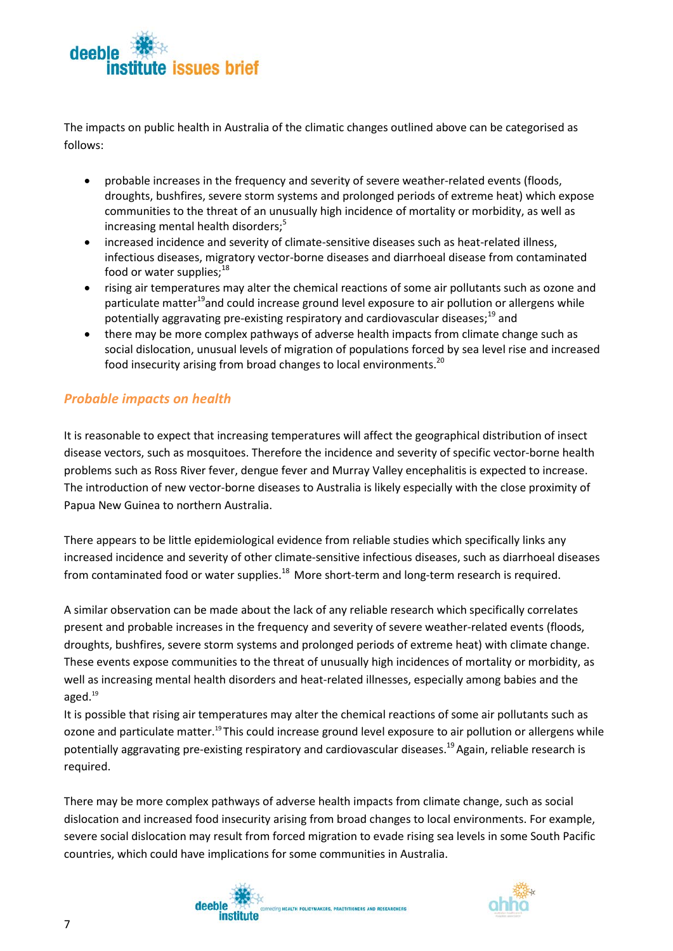

The impacts on public health in Australia of the climatic changes outlined above can be categorised as follows:

- probable increases in the frequency and severity of severe weather-related events (floods, droughts, bushfires, severe storm systems and prolonged periods of extreme heat) which expose communities to the threat of an unusually high incidence of mortality or morbidity, as well as increasing mental health disorders;<sup>5</sup>
- increased incidence and severity of climate-sensitive diseases such as heat-related illness, infectious diseases, migratory vector-borne diseases and diarrhoeal disease from contaminated food or water supplies:<sup>18</sup>
- rising air temperatures may alter the chemical reactions of some air pollutants such as ozone and particulate matter<sup>19</sup>and could increase ground level exposure to air pollution or allergens while potentially aggravating pre-existing respiratory and cardiovascular diseases; $^{19}$  and
- there may be more complex pathways of adverse health impacts from climate change such as social dislocation, unusual levels of migration of populations forced by sea level rise and increased food insecurity arising from broad changes to local environments.<sup>20</sup>

### <span id="page-10-0"></span>*Probable impacts on health*

It is reasonable to expect that increasing temperatures will affect the geographical distribution of insect disease vectors, such as mosquitoes. Therefore the incidence and severity of specific vector-borne health problems such as Ross River fever, dengue fever and Murray Valley encephalitis is expected to increase. The introduction of new vector-borne diseases to Australia is likely especially with the close proximity of Papua New Guinea to northern Australia.

There appears to be little epidemiological evidence from reliable studies which specifically links any increased incidence and severity of other climate-sensitive infectious diseases, such as diarrhoeal diseases from contaminated food or water supplies. $^{18}$  More short-term and long-term research is required.

A similar observation can be made about the lack of any reliable research which specifically correlates present and probable increases in the frequency and severity of severe weather-related events (floods, droughts, bushfires, severe storm systems and prolonged periods of extreme heat) with climate change. These events expose communities to the threat of unusually high incidences of mortality or morbidity, as well as increasing mental health disorders and heat-related illnesses, especially among babies and the aged.<sup>19</sup>

It is possible that rising air temperatures may alter the chemical reactions of some air pollutants such as ozone and particulate matter.<sup>19</sup> This could increase ground level exposure to air pollution or allergens while potentially aggravating pre-existing respiratory and cardiovascular diseases.<sup>19</sup> Again, reliable research is required.

There may be more complex pathways of adverse health impacts from climate change, such as social dislocation and increased food insecurity arising from broad changes to local environments. For example, severe social dislocation may result from forced migration to evade rising sea levels in some South Pacific countries, which could have implications for some communities in Australia.



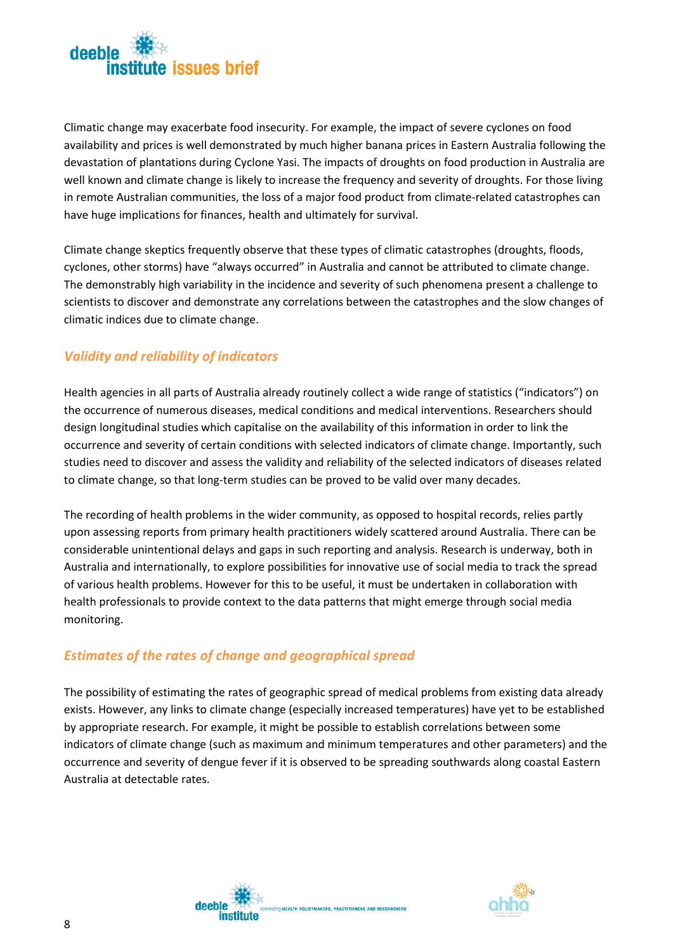

Climatic change may exacerbate food insecurity. For example, the impact of severe cyclones on food availability and prices is well demonstrated by much higher banana prices in Eastern Australia following the devastation of plantations during Cyclone Yasi. The impacts of droughts on food production in Australia are well known and climate change is likely to increase the frequency and severity of droughts. For those living in remote Australian communities, the loss of a major food product from climate-related catastrophes can have huge implications for finances, health and ultimately for survival.

Climate change skeptics frequently observe that these types of climatic catastrophes (droughts, floods, cyclones, other storms) have "always occurred" in Australia and cannot be attributed to climate change. The demonstrably high variability in the incidence and severity of such phenomena present a challenge to scientists to discover and demonstrate any correlations between the catastrophes and the slow changes of climatic indices due to climate change.

### <span id="page-11-0"></span>*Validity and reliability of indicators*

Health agencies in all parts of Australia already routinely collect a wide range of statistics ("indicators") on the occurrence of numerous diseases, medical conditions and medical interventions. Researchers should design longitudinal studies which capitalise on the availability of this information in order to link the occurrence and severity of certain conditions with selected indicators of climate change. Importantly, such studies need to discover and assess the validity and reliability of the selected indicators of diseases related to climate change, so that long-term studies can be proved to be valid over many decades.

The recording of health problems in the wider community, as opposed to hospital records, relies partly upon assessing reports from primary health practitioners widely scattered around Australia. There can be considerable unintentional delays and gaps in such reporting and analysis. Research is underway, both in Australia and internationally, to explore possibilities for innovative use of social media to track the spread of various health problems. However for this to be useful, it must be undertaken in collaboration with health professionals to provide context to the data patterns that might emerge through social media monitoring.

### <span id="page-11-1"></span>*Estimates of the rates of change and geographical spread*

The possibility of estimating the rates of geographic spread of medical problems from existing data already exists. However, any links to climate change (especially increased temperatures) have yet to be established by appropriate research. For example, it might be possible to establish correlations between some indicators of climate change (such as maximum and minimum temperatures and other parameters) and the occurrence and severity of dengue fever if it is observed to be spreading southwards along coastal Eastern Australia at detectable rates.



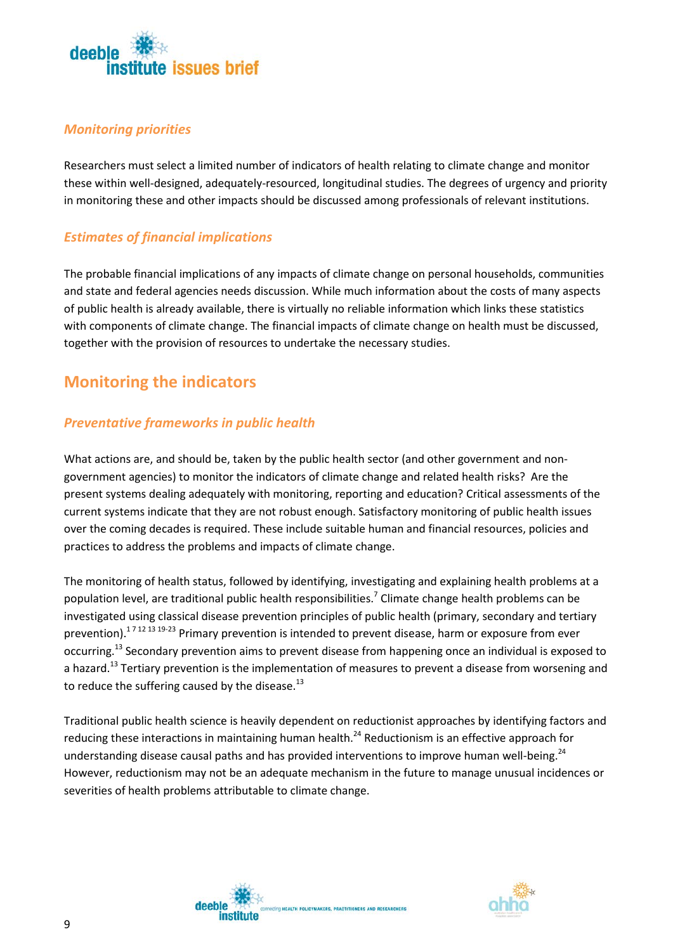

### <span id="page-12-0"></span>*Monitoring priorities*

Researchers must select a limited number of indicators of health relating to climate change and monitor these within well-designed, adequately-resourced, longitudinal studies. The degrees of urgency and priority in monitoring these and other impacts should be discussed among professionals of relevant institutions.

### <span id="page-12-1"></span>*Estimates of financial implications*

The probable financial implications of any impacts of climate change on personal households, communities and state and federal agencies needs discussion. While much information about the costs of many aspects of public health is already available, there is virtually no reliable information which links these statistics with components of climate change. The financial impacts of climate change on health must be discussed, together with the provision of resources to undertake the necessary studies.

### <span id="page-12-2"></span>**Monitoring the indicators**

### <span id="page-12-3"></span>*Preventative frameworks in public health*

What actions are, and should be, taken by the public health sector (and other government and nongovernment agencies) to monitor the indicators of climate change and related health risks? Are the present systems dealing adequately with monitoring, reporting and education? Critical assessments of the current systems indicate that they are not robust enough. Satisfactory monitoring of public health issues over the coming decades is required. These include suitable human and financial resources, policies and practices to address the problems and impacts of climate change.

The monitoring of health status, followed by identifying, investigating and explaining health problems at a population level, are traditional public health responsibilities.<sup>7</sup> Climate change health problems can be investigated using classical disease prevention principles of public health (primary, secondary and tertiary prevention).<sup>17 12 13 19-23</sup> Primary prevention is intended to prevent disease, harm or exposure from ever occurring.13 Secondary prevention aims to prevent disease from happening once an individual is exposed to a hazard.<sup>13</sup> Tertiary prevention is the implementation of measures to prevent a disease from worsening and to reduce the suffering caused by the disease. $^{13}$ 

Traditional public health science is heavily dependent on reductionist approaches by identifying factors and reducing these interactions in maintaining human health.<sup>24</sup> Reductionism is an effective approach for understanding disease causal paths and has provided interventions to improve human well-being.<sup>24</sup> However, reductionism may not be an adequate mechanism in the future to manage unusual incidences or severities of health problems attributable to climate change.



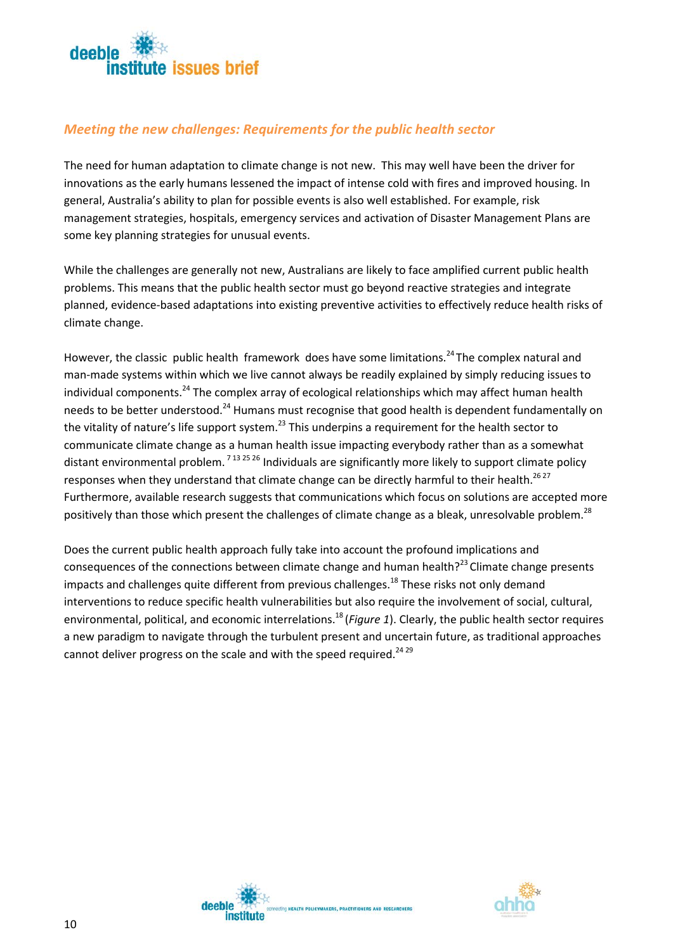

### <span id="page-13-0"></span>*Meeting the new challenges: Requirements for the public health sector*

The need for human adaptation to climate change is not new. This may well have been the driver for innovations as the early humans lessened the impact of intense cold with fires and improved housing. In general, Australia's ability to plan for possible events is also well established. For example, risk management strategies, hospitals, emergency services and activation of Disaster Management Plans are some key planning strategies for unusual events.

While the challenges are generally not new, Australians are likely to face amplified current public health problems. This means that the public health sector must go beyond reactive strategies and integrate planned, evidence-based adaptations into existing preventive activities to effectively reduce health risks of climate change.

However, the classic public health framework does have some limitations.<sup>24</sup> The complex natural and man-made systems within which we live cannot always be readily explained by simply reducing issues to individual components.<sup>24</sup> The complex array of ecological relationships which may affect human health needs to be better understood.<sup>24</sup> Humans must recognise that good health is dependent fundamentally on the vitality of nature's life support system.<sup>23</sup> This underpins a requirement for the health sector to communicate climate change as a human health issue impacting everybody rather than as a somewhat distant environmental problem. <sup>713 25 26</sup> Individuals are significantly more likely to support climate policy responses when they understand that climate change can be directly harmful to their health.<sup>26 27</sup> Furthermore, available research suggests that communications which focus on solutions are accepted more positively than those which present the challenges of climate change as a bleak, unresolvable problem.<sup>28</sup>

Does the current public health approach fully take into account the profound implications and consequences of the connections between climate change and human health? $23$  Climate change presents impacts and challenges quite different from previous challenges.<sup>18</sup> These risks not only demand interventions to reduce specific health vulnerabilities but also require the involvement of social, cultural, environmental, political, and economic interrelations.<sup>18</sup> (*Figure 1*). Clearly, the public health sector requires a new paradigm to navigate through the turbulent present and uncertain future, as traditional approaches cannot deliver progress on the scale and with the speed required.<sup>24 29</sup>



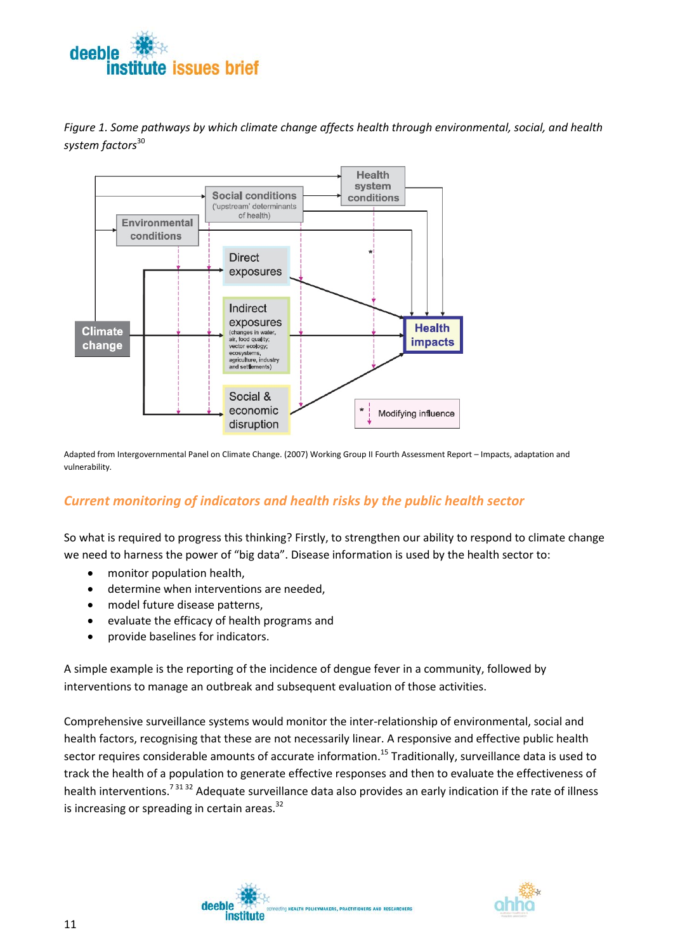



*Figure 1. Some pathways by which climate change affects health through environmental, social, and health system factors*<sup>30</sup>

Adapted from Intergovernmental Panel on Climate Change. (2007) Working Group II Fourth Assessment Report – Impacts, adaptation and vulnerability.

### <span id="page-14-0"></span>*Current monitoring of indicators and health risks by the public health sector*

So what is required to progress this thinking? Firstly, to strengthen our ability to respond to climate change we need to harness the power of "big data". Disease information is used by the health sector to:

- monitor population health,
- determine when interventions are needed,
- model future disease patterns,
- evaluate the efficacy of health programs and
- provide baselines for indicators.

A simple example is the reporting of the incidence of dengue fever in a community, followed by interventions to manage an outbreak and subsequent evaluation of those activities.

Comprehensive surveillance systems would monitor the inter-relationship of environmental, social and health factors, recognising that these are not necessarily linear. A responsive and effective public health sector requires considerable amounts of accurate information.<sup>15</sup> Traditionally, surveillance data is used to track the health of a population to generate effective responses and then to evaluate the effectiveness of health interventions.<sup>73132</sup> Adequate surveillance data also provides an early indication if the rate of illness is increasing or spreading in certain areas. $32$ 



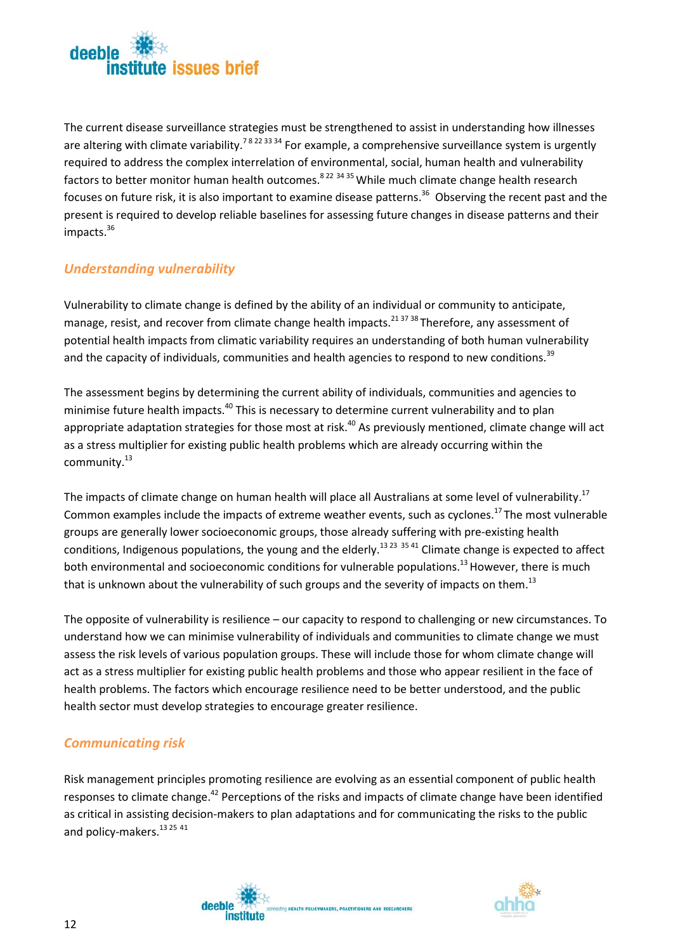

The current disease surveillance strategies must be strengthened to assist in understanding how illnesses are altering with climate variability.<sup>78 22 33 34</sup> For example, a comprehensive surveillance system is urgently required to address the complex interrelation of environmental, social, human health and vulnerability factors to better monitor human health outcomes.<sup>8 22 34 35</sup> While much climate change health research focuses on future risk, it is also important to examine disease patterns.<sup>36</sup> Observing the recent past and the present is required to develop reliable baselines for assessing future changes in disease patterns and their impacts.<sup>36</sup>

### <span id="page-15-0"></span>*Understanding vulnerability*

Vulnerability to climate change is defined by the ability of an individual or community to anticipate, manage, resist, and recover from climate change health impacts.<sup>21,37,38</sup> Therefore, any assessment of potential health impacts from climatic variability requires an understanding of both human vulnerability and the capacity of individuals, communities and health agencies to respond to new conditions.<sup>39</sup>

The assessment begins by determining the current ability of individuals, communities and agencies to minimise future health impacts.<sup>40</sup> This is necessary to determine current vulnerability and to plan appropriate adaptation strategies for those most at risk.<sup>40</sup> As previously mentioned, climate change will act as a stress multiplier for existing public health problems which are already occurring within the community.<sup>13</sup>

The impacts of climate change on human health will place all Australians at some level of vulnerability.<sup>17</sup> Common examples include the impacts of extreme weather events, such as cyclones.<sup>17</sup> The most vulnerable groups are generally lower socioeconomic groups, those already suffering with pre-existing health conditions, Indigenous populations, the young and the elderly.<sup>13 23</sup> 35 41 Climate change is expected to affect both environmental and socioeconomic conditions for vulnerable populations.<sup>13</sup> However, there is much that is unknown about the vulnerability of such groups and the severity of impacts on them.<sup>13</sup>

The opposite of vulnerability is resilience – our capacity to respond to challenging or new circumstances. To understand how we can minimise vulnerability of individuals and communities to climate change we must assess the risk levels of various population groups. These will include those for whom climate change will act as a stress multiplier for existing public health problems and those who appear resilient in the face of health problems. The factors which encourage resilience need to be better understood, and the public health sector must develop strategies to encourage greater resilience.

### <span id="page-15-1"></span>*Communicating risk*

Risk management principles promoting resilience are evolving as an essential component of public health responses to climate change.<sup>42</sup> Perceptions of the risks and impacts of climate change have been identified as critical in assisting decision-makers to plan adaptations and for communicating the risks to the public and policy-makers.<sup>13 25</sup> <sup>41</sup>

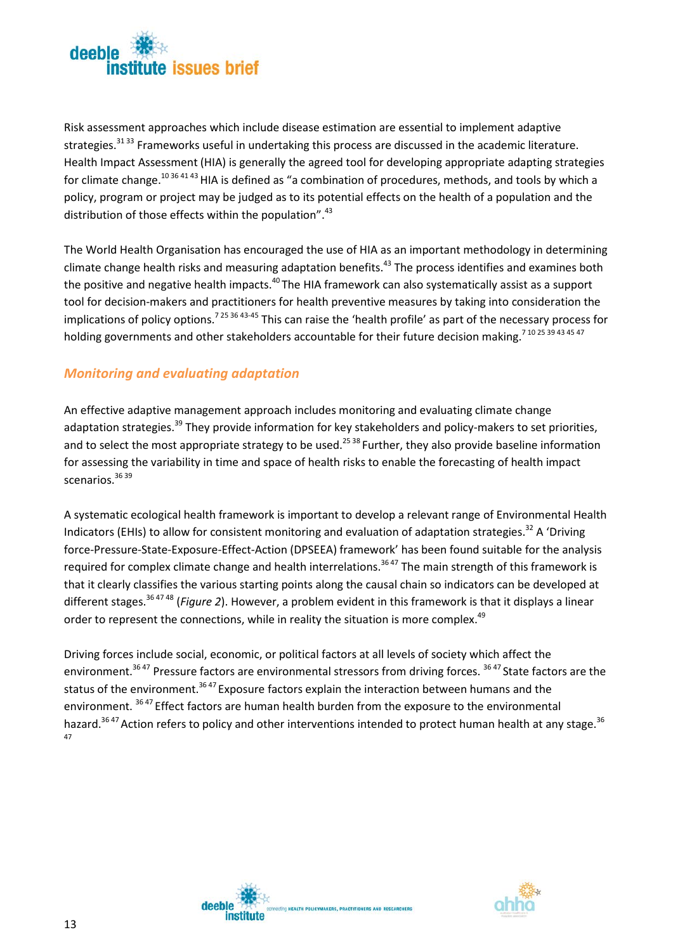

Risk assessment approaches which include disease estimation are essential to implement adaptive strategies.<sup>31 33</sup> Frameworks useful in undertaking this process are discussed in the academic literature. Health Impact Assessment (HIA) is generally the agreed tool for developing appropriate adapting strategies for climate change.<sup>1036 41 43</sup> HIA is defined as "a combination of procedures, methods, and tools by which a policy, program or project may be judged as to its potential effects on the health of a population and the distribution of those effects within the population".<sup>43</sup>

The World Health Organisation has encouraged the use of HIA as an important methodology in determining climate change health risks and measuring adaptation benefits.<sup>43</sup> The process identifies and examines both the positive and negative health impacts.<sup>40</sup> The HIA framework can also systematically assist as a support tool for decision-makers and practitioners for health preventive measures by taking into consideration the implications of policy options.<sup>7 25 36 43-45</sup> This can raise the 'health profile' as part of the necessary process for holding governments and other stakeholders accountable for their future decision making.<sup>710 25 39 43 45 47</sup>

### <span id="page-16-0"></span>*Monitoring and evaluating adaptation*

An effective adaptive management approach includes monitoring and evaluating climate change adaptation strategies.<sup>39</sup> They provide information for key stakeholders and policy-makers to set priorities, and to select the most appropriate strategy to be used.<sup>25 38</sup> Further, they also provide baseline information for assessing the variability in time and space of health risks to enable the forecasting of health impact scenarios.36 <sup>39</sup>

A systematic ecological health framework is important to develop a relevant range of Environmental Health Indicators (EHIs) to allow for consistent monitoring and evaluation of adaptation strategies.<sup>32</sup> A 'Driving force-Pressure-State-Exposure-Effect-Action (DPSEEA) framework' has been found suitable for the analysis required for complex climate change and health interrelations.<sup>3647</sup> The main strength of this framework is that it clearly classifies the various starting points along the causal chain so indicators can be developed at different stages.36 47 48 (*Figure 2*). However, a problem evident in this framework is that it displays a linear order to represent the connections, while in reality the situation is more complex.<sup>49</sup>

Driving forces include social, economic, or political factors at all levels of society which affect the environment.<sup>36 47</sup> Pressure factors are environmental stressors from driving forces. <sup>36 47</sup> State factors are the status of the environment.<sup>3647</sup> Exposure factors explain the interaction between humans and the environment. <sup>36,47</sup> Effect factors are human health burden from the exposure to the environmental hazard.<sup>36 47</sup> Action refers to policy and other interventions intended to protect human health at any stage.<sup>36</sup> 47



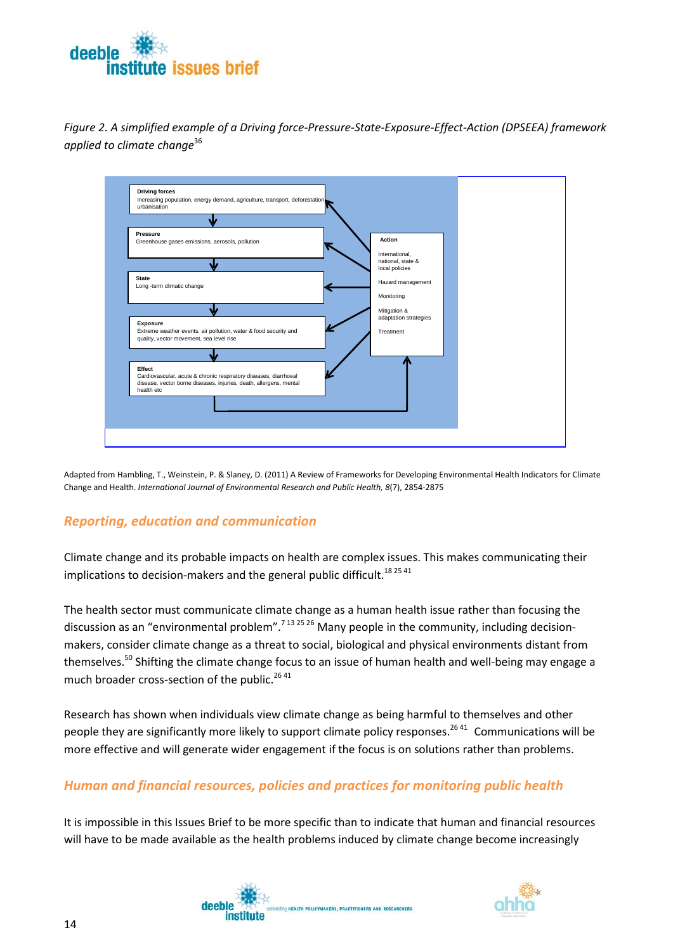

*Figure 2. A simplified example of a Driving force-Pressure-State-Exposure-Effect-Action (DPSEEA) framework applied to climate change*<sup>36</sup>



Adapted from Hambling, T., Weinstein, P. & Slaney, D. (2011) A Review of Frameworks for Developing Environmental Health Indicators for Climate Change and Health. *International Journal of Environmental Research and Public Health, 8*(7), 2854-2875

### <span id="page-17-0"></span>*Reporting, education and communication*

Climate change and its probable impacts on health are complex issues. This makes communicating their implications to decision-makers and the general public difficult.<sup>182541</sup>

The health sector must communicate climate change as a human health issue rather than focusing the discussion as an "environmental problem".<sup>7 13 25 26</sup> Many people in the community, including decisionmakers, consider climate change as a threat to social, biological and physical environments distant from themselves.<sup>50</sup> Shifting the climate change focus to an issue of human health and well-being may engage a much broader cross-section of the public.<sup>2641</sup>

Research has shown when individuals view climate change as being harmful to themselves and other people they are significantly more likely to support climate policy responses.<sup>2641</sup> Communications will be more effective and will generate wider engagement if the focus is on solutions rather than problems.

### <span id="page-17-1"></span>*Human and financial resources, policies and practices for monitoring public health*

It is impossible in this Issues Brief to be more specific than to indicate that human and financial resources will have to be made available as the health problems induced by climate change become increasingly

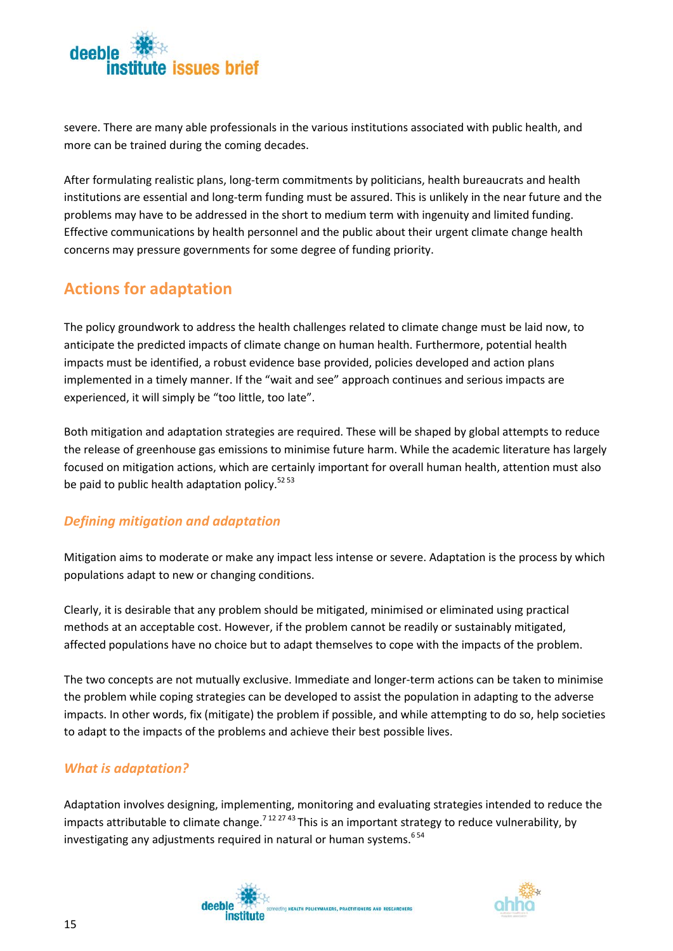

severe. There are many able professionals in the various institutions associated with public health, and more can be trained during the coming decades.

After formulating realistic plans, long-term commitments by politicians, health bureaucrats and health institutions are essential and long-term funding must be assured. This is unlikely in the near future and the problems may have to be addressed in the short to medium term with ingenuity and limited funding. Effective communications by health personnel and the public about their urgent climate change health concerns may pressure governments for some degree of funding priority.

### <span id="page-18-0"></span>**Actions for adaptation**

The policy groundwork to address the health challenges related to climate change must be laid now, to anticipate the predicted impacts of climate change on human health. Furthermore, potential health impacts must be identified, a robust evidence base provided, policies developed and action plans implemented in a timely manner. If the "wait and see" approach continues and serious impacts are experienced, it will simply be "too little, too late".

Both mitigation and adaptation strategies are required. These will be shaped by global attempts to reduce the release of greenhouse gas emissions to minimise future harm. While the academic literature has largely focused on mitigation actions, which are certainly important for overall human health, attention must also be paid to public health adaptation policy. $52\,53$ 

### <span id="page-18-1"></span>*Defining mitigation and adaptation*

Mitigation aims to moderate or make any impact less intense or severe. Adaptation is the process by which populations adapt to new or changing conditions.

Clearly, it is desirable that any problem should be mitigated, minimised or eliminated using practical methods at an acceptable cost. However, if the problem cannot be readily or sustainably mitigated, affected populations have no choice but to adapt themselves to cope with the impacts of the problem.

The two concepts are not mutually exclusive. Immediate and longer-term actions can be taken to minimise the problem while coping strategies can be developed to assist the population in adapting to the adverse impacts. In other words, fix (mitigate) the problem if possible, and while attempting to do so, help societies to adapt to the impacts of the problems and achieve their best possible lives.

### <span id="page-18-2"></span>*What is adaptation?*

Adaptation involves designing, implementing, monitoring and evaluating strategies intended to reduce the impacts attributable to climate change.<sup>7 12 27 43</sup> This is an important strategy to reduce vulnerability, by investigating any adjustments required in natural or human systems.  $654$ 



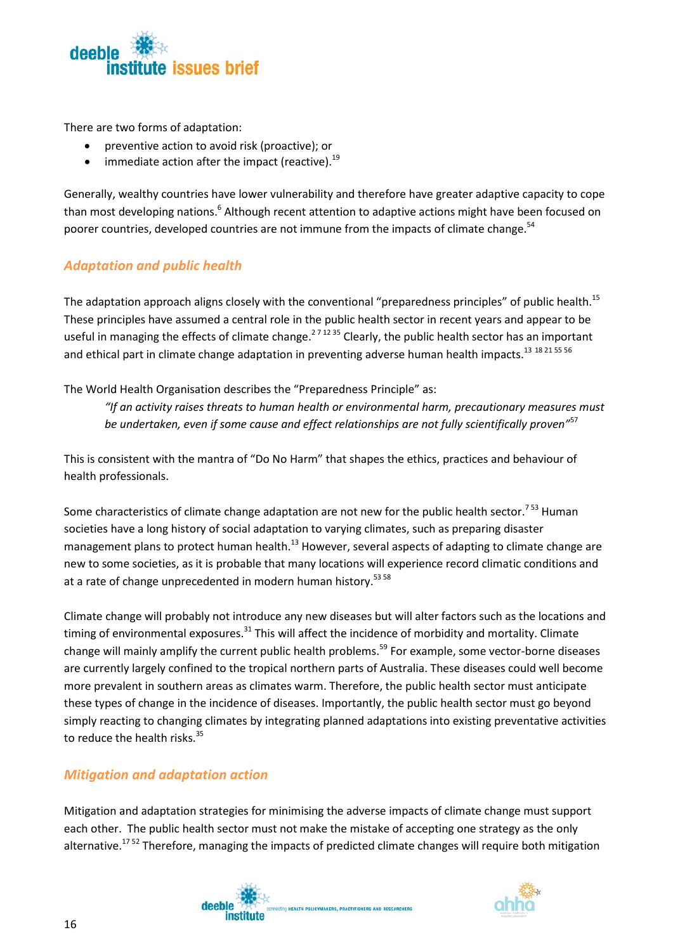

There are two forms of adaptation:

- preventive action to avoid risk (proactive); or
- immediate action after the impact (reactive). $^{19}$

Generally, wealthy countries have lower vulnerability and therefore have greater adaptive capacity to cope than most developing nations.<sup>6</sup> Although recent attention to adaptive actions might have been focused on poorer countries, developed countries are not immune from the impacts of climate change.<sup>54</sup>

### <span id="page-19-0"></span>*Adaptation and public health*

The adaptation approach aligns closely with the conventional "preparedness principles" of public health.<sup>15</sup> These principles have assumed a central role in the public health sector in recent years and appear to be useful in managing the effects of climate change.<sup>271235</sup> Clearly, the public health sector has an important and ethical part in climate change adaptation in preventing adverse human health impacts.<sup>13</sup> <sup>18 21 55 56</sup>

The World Health Organisation describes the "Preparedness Principle" as:

*"If an activity raises threats to human health or environmental harm, precautionary measures must be undertaken, even if some cause and effect relationships are not fully scientifically proven"*<sup>57</sup>

This is consistent with the mantra of "Do No Harm" that shapes the ethics, practices and behaviour of health professionals.

Some characteristics of climate change adaptation are not new for the public health sector.<sup>753</sup> Human societies have a long history of social adaptation to varying climates, such as preparing disaster management plans to protect human health.<sup>13</sup> However, several aspects of adapting to climate change are new to some societies, as it is probable that many locations will experience record climatic conditions and at a rate of change unprecedented in modern human history.<sup>53 58</sup>

Climate change will probably not introduce any new diseases but will alter factors such as the locations and timing of environmental exposures.<sup>31</sup> This will affect the incidence of morbidity and mortality. Climate change will mainly amplify the current public health problems.<sup>59</sup> For example, some vector-borne diseases are currently largely confined to the tropical northern parts of Australia. These diseases could well become more prevalent in southern areas as climates warm. Therefore, the public health sector must anticipate these types of change in the incidence of diseases. Importantly, the public health sector must go beyond simply reacting to changing climates by integrating planned adaptations into existing preventative activities to reduce the health risks.<sup>35</sup>

#### <span id="page-19-1"></span>*Mitigation and adaptation action*

Mitigation and adaptation strategies for minimising the adverse impacts of climate change must support each other. The public health sector must not make the mistake of accepting one strategy as the only alternative.<sup>1752</sup> Therefore, managing the impacts of predicted climate changes will require both mitigation



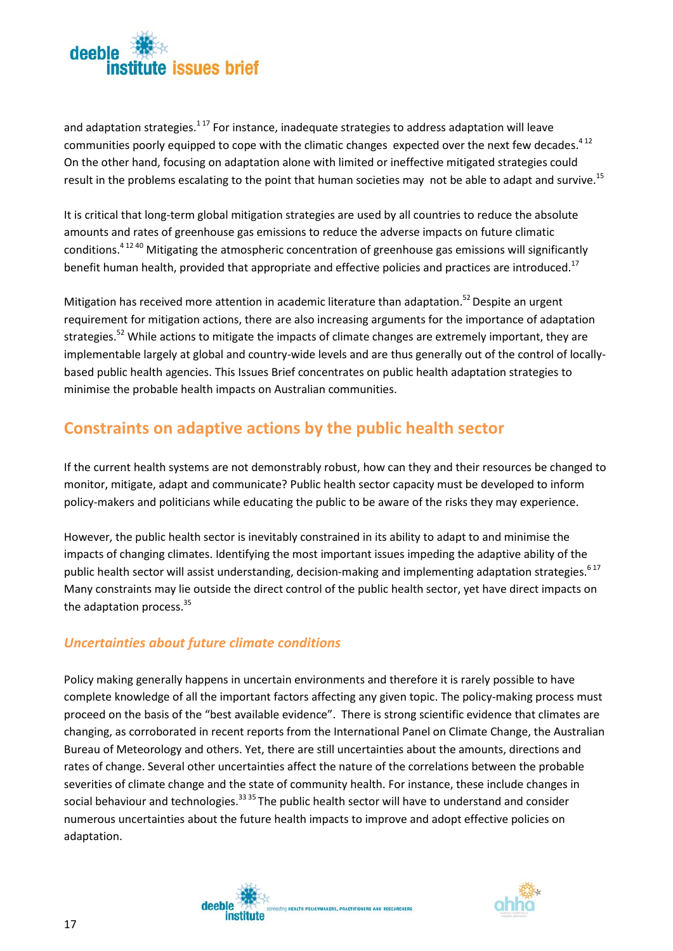

and adaptation strategies.<sup>117</sup> For instance, inadequate strategies to address adaptation will leave communities poorly equipped to cope with the climatic changes expected over the next few decades.<sup>412</sup> On the other hand, focusing on adaptation alone with limited or ineffective mitigated strategies could result in the problems escalating to the point that human societies may not be able to adapt and survive.<sup>15</sup>

It is critical that long-term global mitigation strategies are used by all countries to reduce the absolute amounts and rates of greenhouse gas emissions to reduce the adverse impacts on future climatic conditions.<sup>4 12 40</sup> Mitigating the atmospheric concentration of greenhouse gas emissions will significantly benefit human health, provided that appropriate and effective policies and practices are introduced.<sup>17</sup>

Mitigation has received more attention in academic literature than adaptation.<sup>52</sup> Despite an urgent requirement for mitigation actions, there are also increasing arguments for the importance of adaptation strategies.<sup>52</sup> While actions to mitigate the impacts of climate changes are extremely important, they are implementable largely at global and country-wide levels and are thus generally out of the control of locallybased public health agencies. This Issues Brief concentrates on public health adaptation strategies to minimise the probable health impacts on Australian communities.

### <span id="page-20-0"></span>**Constraints on adaptive actions by the public health sector**

If the current health systems are not demonstrably robust, how can they and their resources be changed to monitor, mitigate, adapt and communicate? Public health sector capacity must be developed to inform policy-makers and politicians while educating the public to be aware of the risks they may experience.

However, the public health sector is inevitably constrained in its ability to adapt to and minimise the impacts of changing climates. Identifying the most important issues impeding the adaptive ability of the public health sector will assist understanding, decision-making and implementing adaptation strategies.<sup>617</sup> Many constraints may lie outside the direct control of the public health sector, yet have direct impacts on the adaptation process.<sup>35</sup>

### <span id="page-20-1"></span>*Uncertainties about future climate conditions*

Policy making generally happens in uncertain environments and therefore it is rarely possible to have complete knowledge of all the important factors affecting any given topic. The policy-making process must proceed on the basis of the "best available evidence". There is strong scientific evidence that climates are changing, as corroborated in recent reports from the International Panel on Climate Change, the Australian Bureau of Meteorology and others. Yet, there are still uncertainties about the amounts, directions and rates of change. Several other uncertainties affect the nature of the correlations between the probable severities of climate change and the state of community health. For instance, these include changes in social behaviour and technologies.<sup>33 35</sup> The public health sector will have to understand and consider numerous uncertainties about the future health impacts to improve and adopt effective policies on adaptation.



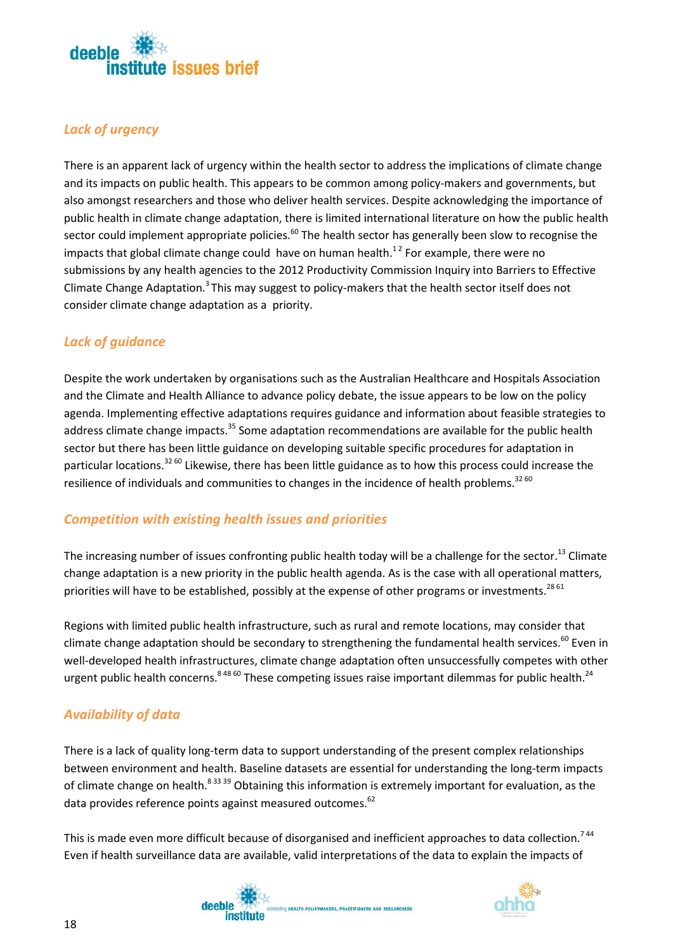

### <span id="page-21-0"></span>*Lack of urgency*

There is an apparent lack of urgency within the health sector to address the implications of climate change and its impacts on public health. This appears to be common among policy-makers and governments, but also amongst researchers and those who deliver health services. Despite acknowledging the importance of public health in climate change adaptation, there is limited international literature on how the public health sector could implement appropriate policies.<sup>60</sup> The health sector has generally been slow to recognise the impacts that global climate change could have on human health.<sup>12</sup> For example, there were no submissions by any health agencies to the 2012 Productivity Commission Inquiry into Barriers to Effective Climate Change Adaptation.<sup>3</sup> This may suggest to policy-makers that the health sector itself does not consider climate change adaptation as a priority.

### <span id="page-21-1"></span>*Lack of guidance*

Despite the work undertaken by organisations such as the Australian Healthcare and Hospitals Association and the Climate and Health Alliance to advance policy debate, the issue appears to be low on the policy agenda. Implementing effective adaptations requires guidance and information about feasible strategies to address climate change impacts.<sup>35</sup> Some adaptation recommendations are available for the public health sector but there has been little guidance on developing suitable specific procedures for adaptation in particular locations.<sup>32 60</sup> Likewise, there has been little guidance as to how this process could increase the resilience of individuals and communities to changes in the incidence of health problems. $^{32\,60}$ 

### <span id="page-21-2"></span>*Competition with existing health issues and priorities*

The increasing number of issues confronting public health today will be a challenge for the sector.<sup>13</sup> Climate change adaptation is a new priority in the public health agenda. As is the case with all operational matters, priorities will have to be established, possibly at the expense of other programs or investments.<sup>28 61</sup>

Regions with limited public health infrastructure, such as rural and remote locations, may consider that climate change adaptation should be secondary to strengthening the fundamental health services.<sup>60</sup> Even in well-developed health infrastructures, climate change adaptation often unsuccessfully competes with other urgent public health concerns.<sup>8 48 60</sup> These competing issues raise important dilemmas for public health.<sup>24</sup>

### <span id="page-21-3"></span>*Availability of data*

There is a lack of quality long-term data to support understanding of the present complex relationships between environment and health. Baseline datasets are essential for understanding the long-term impacts of climate change on health.<sup>8 33 39</sup> Obtaining this information is extremely important for evaluation, as the data provides reference points against measured outcomes.<sup>62</sup>

This is made even more difficult because of disorganised and inefficient approaches to data collection.<sup>744</sup> Even if health surveillance data are available, valid interpretations of the data to explain the impacts of

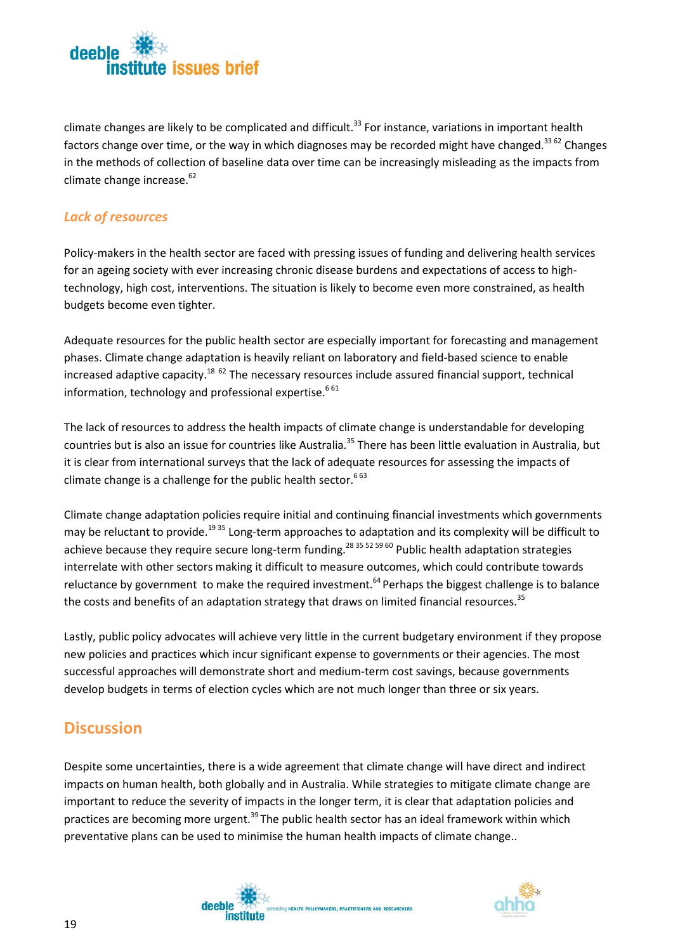

climate changes are likely to be complicated and difficult.<sup>33</sup> For instance, variations in important health factors change over time, or the way in which diagnoses may be recorded might have changed.<sup>33 62</sup> Changes in the methods of collection of baseline data over time can be increasingly misleading as the impacts from climate change increase. 62

### <span id="page-22-0"></span>*Lack of resources*

Policy-makers in the health sector are faced with pressing issues of funding and delivering health services for an ageing society with ever increasing chronic disease burdens and expectations of access to hightechnology, high cost, interventions. The situation is likely to become even more constrained, as health budgets become even tighter.

Adequate resources for the public health sector are especially important for forecasting and management phases. Climate change adaptation is heavily reliant on laboratory and field-based science to enable increased adaptive capacity.<sup>18 62</sup> The necessary resources include assured financial support, technical information, technology and professional expertise.<sup>661</sup>

The lack of resources to address the health impacts of climate change is understandable for developing countries but is also an issue for countries like Australia.<sup>35</sup> There has been little evaluation in Australia, but it is clear from international surveys that the lack of adequate resources for assessing the impacts of climate change is a challenge for the public health sector.<sup>663</sup>

Climate change adaptation policies require initial and continuing financial investments which governments may be reluctant to provide.<sup>1935</sup> Long-term approaches to adaptation and its complexity will be difficult to achieve because they require secure long-term funding.<sup>28 35 52 59 60</sup> Public health adaptation strategies interrelate with other sectors making it difficult to measure outcomes, which could contribute towards reluctance by government to make the required investment.<sup>64</sup> Perhaps the biggest challenge is to balance the costs and benefits of an adaptation strategy that draws on limited financial resources.<sup>35</sup>

Lastly, public policy advocates will achieve very little in the current budgetary environment if they propose new policies and practices which incur significant expense to governments or their agencies. The most successful approaches will demonstrate short and medium-term cost savings, because governments develop budgets in terms of election cycles which are not much longer than three or six years.

### <span id="page-22-1"></span>**Discussion**

Despite some uncertainties, there is a wide agreement that climate change will have direct and indirect impacts on human health, both globally and in Australia. While strategies to mitigate climate change are important to reduce the severity of impacts in the longer term, it is clear that adaptation policies and practices are becoming more urgent.<sup>39</sup> The public health sector has an ideal framework within which preventative plans can be used to minimise the human health impacts of climate change..



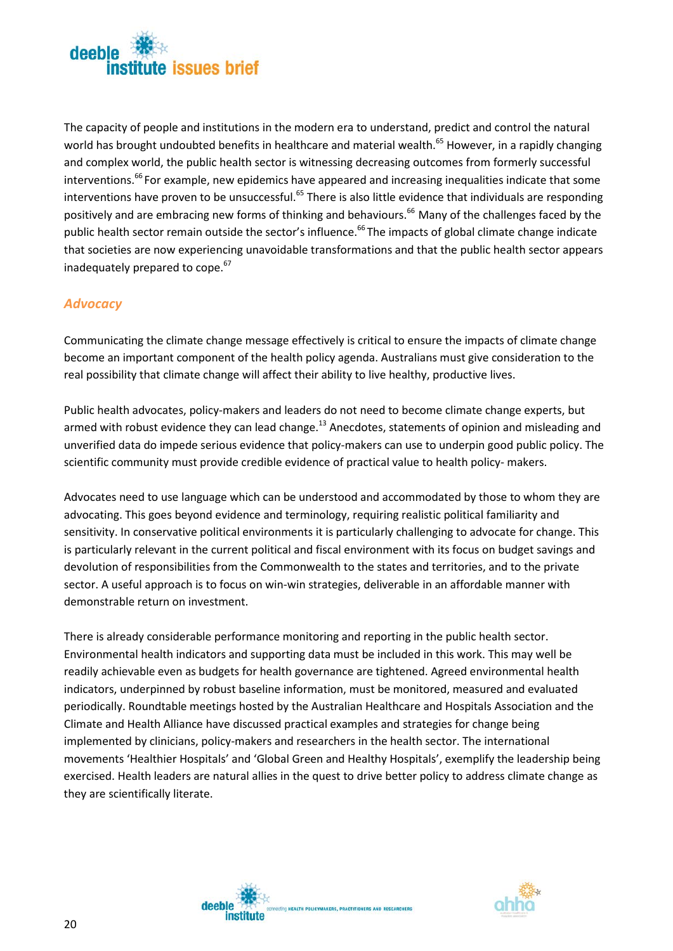

The capacity of people and institutions in the modern era to understand, predict and control the natural world has brought undoubted benefits in healthcare and material wealth.<sup>65</sup> However, in a rapidly changing and complex world, the public health sector is witnessing decreasing outcomes from formerly successful interventions.<sup>66</sup> For example, new epidemics have appeared and increasing inequalities indicate that some interventions have proven to be unsuccessful.<sup>65</sup> There is also little evidence that individuals are responding positively and are embracing new forms of thinking and behaviours.<sup>66</sup> Many of the challenges faced by the public health sector remain outside the sector's influence.<sup>66</sup> The impacts of global climate change indicate that societies are now experiencing unavoidable transformations and that the public health sector appears inadequately prepared to cope.<sup>67</sup>

#### <span id="page-23-0"></span>*Advocacy*

Communicating the climate change message effectively is critical to ensure the impacts of climate change become an important component of the health policy agenda. Australians must give consideration to the real possibility that climate change will affect their ability to live healthy, productive lives.

Public health advocates, policy-makers and leaders do not need to become climate change experts, but armed with robust evidence they can lead change.<sup>13</sup> Anecdotes, statements of opinion and misleading and unverified data do impede serious evidence that policy-makers can use to underpin good public policy. The scientific community must provide credible evidence of practical value to health policy- makers.

Advocates need to use language which can be understood and accommodated by those to whom they are advocating. This goes beyond evidence and terminology, requiring realistic political familiarity and sensitivity. In conservative political environments it is particularly challenging to advocate for change. This is particularly relevant in the current political and fiscal environment with its focus on budget savings and devolution of responsibilities from the Commonwealth to the states and territories, and to the private sector. A useful approach is to focus on win-win strategies, deliverable in an affordable manner with demonstrable return on investment.

There is already considerable performance monitoring and reporting in the public health sector. Environmental health indicators and supporting data must be included in this work. This may well be readily achievable even as budgets for health governance are tightened. Agreed environmental health indicators, underpinned by robust baseline information, must be monitored, measured and evaluated periodically. Roundtable meetings hosted by the Australian Healthcare and Hospitals Association and the Climate and Health Alliance have discussed practical examples and strategies for change being implemented by clinicians, policy-makers and researchers in the health sector. The international movements 'Healthier Hospitals' and 'Global Green and Healthy Hospitals', exemplify the leadership being exercised. Health leaders are natural allies in the quest to drive better policy to address climate change as they are scientifically literate.



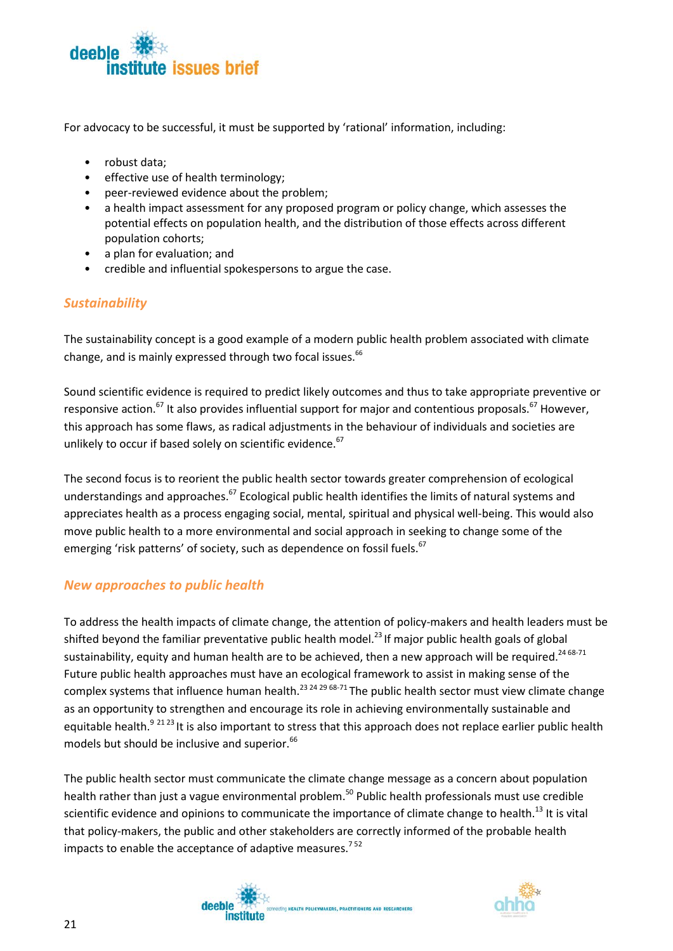

For advocacy to be successful, it must be supported by 'rational' information, including:

- robust data;
- effective use of health terminology;
- peer-reviewed evidence about the problem;
- a health impact assessment for any proposed program or policy change, which assesses the potential effects on population health, and the distribution of those effects across different population cohorts;
- a plan for evaluation; and
- credible and influential spokespersons to argue the case.

### <span id="page-24-0"></span>*Sustainability*

The sustainability concept is a good example of a modern public health problem associated with climate change, and is mainly expressed through two focal issues. 66

Sound scientific evidence is required to predict likely outcomes and thus to take appropriate preventive or responsive action.<sup>67</sup> It also provides influential support for major and contentious proposals.<sup>67</sup> However, this approach has some flaws, as radical adjustments in the behaviour of individuals and societies are unlikely to occur if based solely on scientific evidence.<sup>67</sup>

The second focus is to reorient the public health sector towards greater comprehension of ecological understandings and approaches.<sup>67</sup> Ecological public health identifies the limits of natural systems and appreciates health as a process engaging social, mental, spiritual and physical well-being. This would also move public health to a more environmental and social approach in seeking to change some of the emerging 'risk patterns' of society, such as dependence on fossil fuels.<sup>67</sup>

### <span id="page-24-1"></span>*New approaches to public health*

To address the health impacts of climate change, the attention of policy-makers and health leaders must be shifted beyond the familiar preventative public health model.<sup>23</sup> If major public health goals of global sustainability, equity and human health are to be achieved, then a new approach will be required.<sup>24 68-71</sup> Future public health approaches must have an ecological framework to assist in making sense of the complex systems that influence human health.<sup>23 24 29 68-71</sup> The public health sector must view climate change as an opportunity to strengthen and encourage its role in achieving environmentally sustainable and equitable health.<sup>9 21 23</sup> It is also important to stress that this approach does not replace earlier public health models but should be inclusive and superior.<sup>66</sup>

The public health sector must communicate the climate change message as a concern about population health rather than just a vague environmental problem.<sup>50</sup> Public health professionals must use credible scientific evidence and opinions to communicate the importance of climate change to health.<sup>13</sup> It is vital that policy-makers, the public and other stakeholders are correctly informed of the probable health impacts to enable the acceptance of adaptive measures.<sup>752</sup>



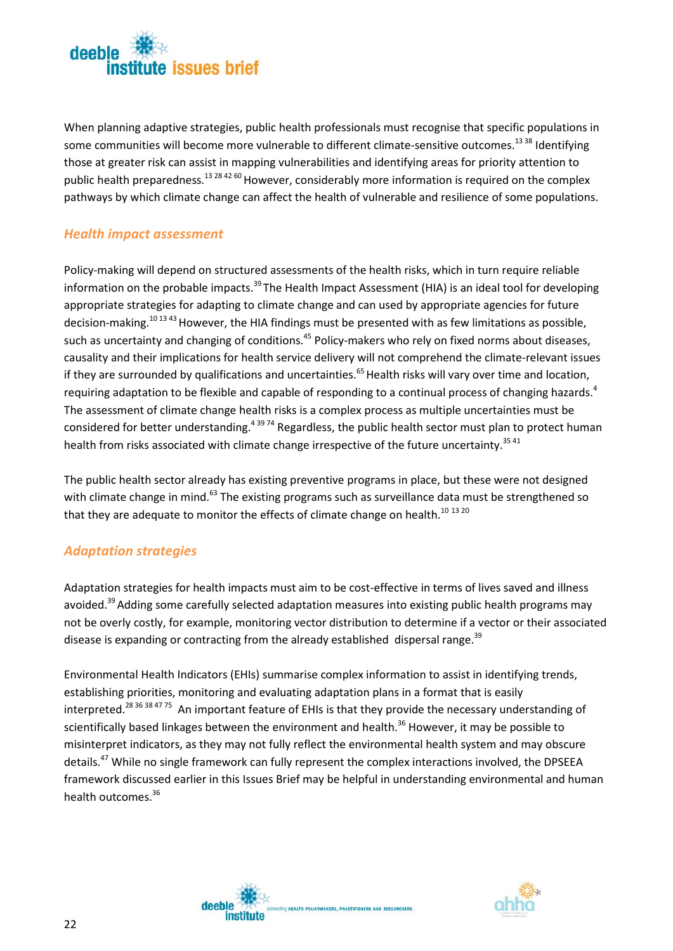

When planning adaptive strategies, public health professionals must recognise that specific populations in some communities will become more vulnerable to different climate-sensitive outcomes.<sup>13 38</sup> Identifying those at greater risk can assist in mapping vulnerabilities and identifying areas for priority attention to public health preparedness.<sup>13 28 42 60</sup> However, considerably more information is required on the complex pathways by which climate change can affect the health of vulnerable and resilience of some populations.

### <span id="page-25-0"></span>*Health impact assessment*

Policy-making will depend on structured assessments of the health risks, which in turn require reliable information on the probable impacts.<sup>39</sup> The Health Impact Assessment (HIA) is an ideal tool for developing appropriate strategies for adapting to climate change and can used by appropriate agencies for future decision-making.<sup>10 13 43</sup> However, the HIA findings must be presented with as few limitations as possible, such as uncertainty and changing of conditions.<sup>45</sup> Policy-makers who rely on fixed norms about diseases, causality and their implications for health service delivery will not comprehend the climate-relevant issues if they are surrounded by qualifications and uncertainties. $65$  Health risks will vary over time and location, requiring adaptation to be flexible and capable of responding to a continual process of changing hazards.<sup>4</sup> The assessment of climate change health risks is a complex process as multiple uncertainties must be considered for better understanding.<sup>43974</sup> Regardless, the public health sector must plan to protect human health from risks associated with climate change irrespective of the future uncertainty.<sup>3541</sup>

The public health sector already has existing preventive programs in place, but these were not designed with climate change in mind.<sup>63</sup> The existing programs such as surveillance data must be strengthened so that they are adequate to monitor the effects of climate change on health.<sup>10 13 20</sup>

### <span id="page-25-1"></span>*Adaptation strategies*

Adaptation strategies for health impacts must aim to be cost-effective in terms of lives saved and illness avoided.<sup>39</sup> Adding some carefully selected adaptation measures into existing public health programs may not be overly costly, for example, monitoring vector distribution to determine if a vector or their associated disease is expanding or contracting from the already established dispersal range.<sup>39</sup>

Environmental Health Indicators (EHIs) summarise complex information to assist in identifying trends, establishing priorities, monitoring and evaluating adaptation plans in a format that is easily interpreted.<sup>28 36 38 47 75</sup> An important feature of EHIs is that they provide the necessary understanding of scientifically based linkages between the environment and health.<sup>36</sup> However, it may be possible to misinterpret indicators, as they may not fully reflect the environmental health system and may obscure details.<sup>47</sup> While no single framework can fully represent the complex interactions involved, the DPSEEA framework discussed earlier in this Issues Brief may be helpful in understanding environmental and human health outcomes.<sup>36</sup>



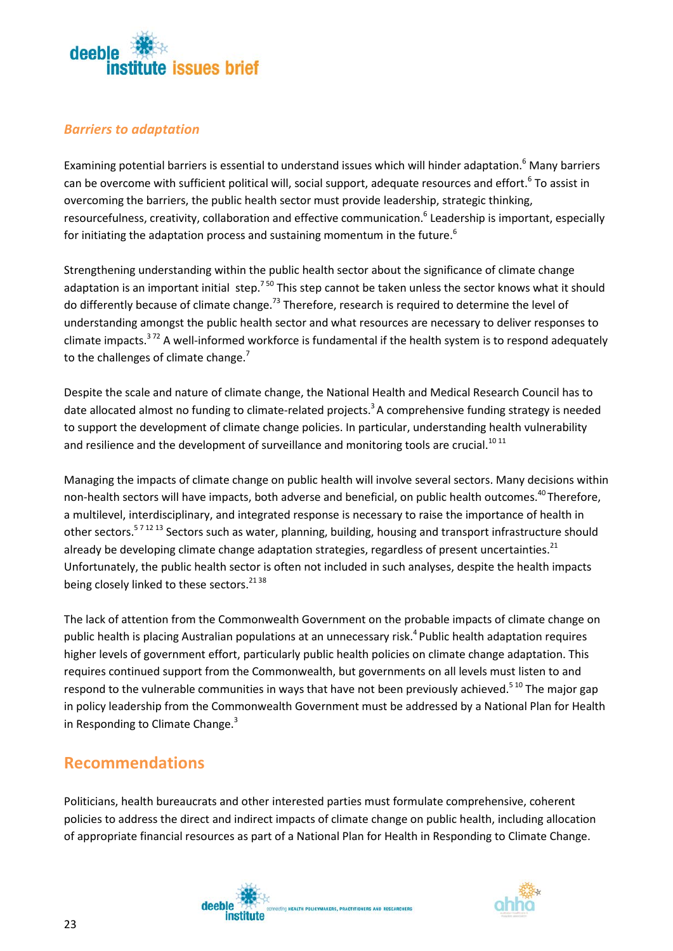

### <span id="page-26-0"></span>*Barriers to adaptation*

Examining potential barriers is essential to understand issues which will hinder adaptation.<sup>6</sup> Many barriers can be overcome with sufficient political will, social support, adequate resources and effort.<sup>6</sup> To assist in overcoming the barriers, the public health sector must provide leadership, strategic thinking, resourcefulness, creativity, collaboration and effective communication.<sup>6</sup> Leadership is important, especially for initiating the adaptation process and sustaining momentum in the future.<sup>6</sup>

Strengthening understanding within the public health sector about the significance of climate change adaptation is an important initial step.<sup>750</sup> This step cannot be taken unless the sector knows what it should do differently because of climate change.<sup>73</sup> Therefore, research is required to determine the level of understanding amongst the public health sector and what resources are necessary to deliver responses to climate impacts.<sup>372</sup> A well-informed workforce is fundamental if the health system is to respond adequately to the challenges of climate change. $<sup>7</sup>$ </sup>

Despite the scale and nature of climate change, the National Health and Medical Research Council has to date allocated almost no funding to climate-related projects.<sup>3</sup> A comprehensive funding strategy is needed to support the development of climate change policies. In particular, understanding health vulnerability and resilience and the development of surveillance and monitoring tools are crucial.<sup>1011</sup>

Managing the impacts of climate change on public health will involve several sectors. Many decisions within non-health sectors will have impacts, both adverse and beneficial, on public health outcomes.<sup>40</sup> Therefore, a multilevel, interdisciplinary, and integrated response is necessary to raise the importance of health in other sectors.<sup>571213</sup> Sectors such as water, planning, building, housing and transport infrastructure should already be developing climate change adaptation strategies, regardless of present uncertainties.<sup>21</sup> Unfortunately, the public health sector is often not included in such analyses, despite the health impacts being closely linked to these sectors.<sup>21 38</sup>

The lack of attention from the Commonwealth Government on the probable impacts of climate change on public health is placing Australian populations at an unnecessary risk.<sup>4</sup> Public health adaptation requires higher levels of government effort, particularly public health policies on climate change adaptation. This requires continued support from the Commonwealth, but governments on all levels must listen to and respond to the vulnerable communities in ways that have not been previously achieved.<sup>510</sup> The major gap in policy leadership from the Commonwealth Government must be addressed by a National Plan for Health in Responding to Climate Change.<sup>3</sup>

### <span id="page-26-1"></span>**Recommendations**

Politicians, health bureaucrats and other interested parties must formulate comprehensive, coherent policies to address the direct and indirect impacts of climate change on public health, including allocation of appropriate financial resources as part of a National Plan for Health in Responding to Climate Change.



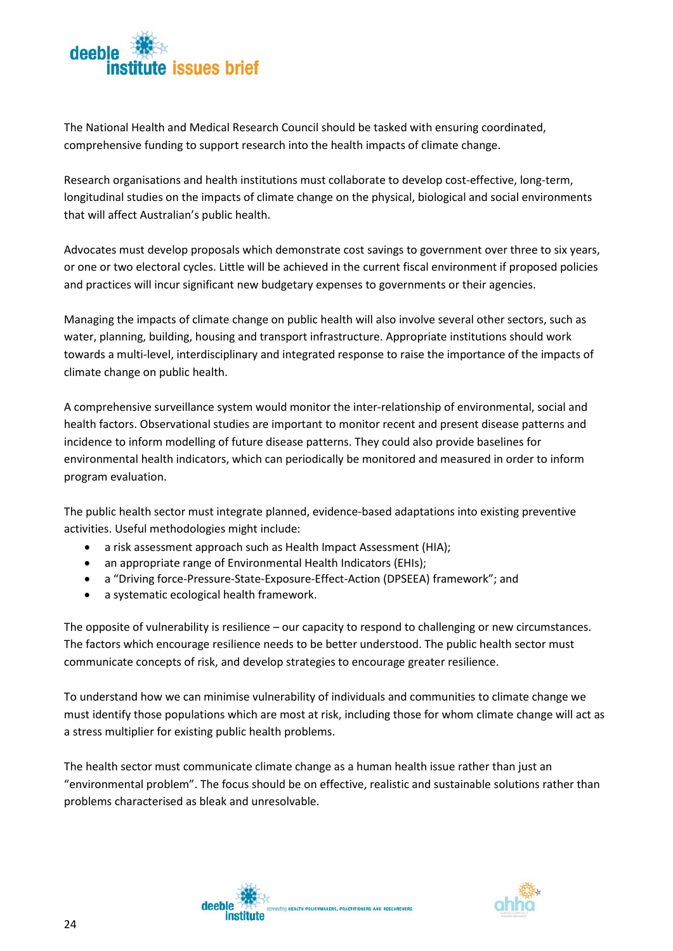

The National Health and Medical Research Council should be tasked with ensuring coordinated, comprehensive funding to support research into the health impacts of climate change.

Research organisations and health institutions must collaborate to develop cost-effective, long-term, longitudinal studies on the impacts of climate change on the physical, biological and social environments that will affect Australian's public health.

Advocates must develop proposals which demonstrate cost savings to government over three to six years, or one or two electoral cycles. Little will be achieved in the current fiscal environment if proposed policies and practices will incur significant new budgetary expenses to governments or their agencies.

Managing the impacts of climate change on public health will also involve several other sectors, such as water, planning, building, housing and transport infrastructure. Appropriate institutions should work towards a multi-level, interdisciplinary and integrated response to raise the importance of the impacts of climate change on public health.

A comprehensive surveillance system would monitor the inter-relationship of environmental, social and health factors. Observational studies are important to monitor recent and present disease patterns and incidence to inform modelling of future disease patterns. They could also provide baselines for environmental health indicators, which can periodically be monitored and measured in order to inform program evaluation.

The public health sector must integrate planned, evidence-based adaptations into existing preventive activities. Useful methodologies might include:

- a risk assessment approach such as Health Impact Assessment (HIA);
- an appropriate range of Environmental Health Indicators (EHIs);
- a "Driving force-Pressure-State-Exposure-Effect-Action (DPSEEA) framework"; and
- a systematic ecological health framework.

The opposite of vulnerability is resilience – our capacity to respond to challenging or new circumstances. The factors which encourage resilience needs to be better understood. The public health sector must communicate concepts of risk, and develop strategies to encourage greater resilience.

To understand how we can minimise vulnerability of individuals and communities to climate change we must identify those populations which are most at risk, including those for whom climate change will act as a stress multiplier for existing public health problems.

The health sector must communicate climate change as a human health issue rather than just an "environmental problem". The focus should be on effective, realistic and sustainable solutions rather than problems characterised as bleak and unresolvable.



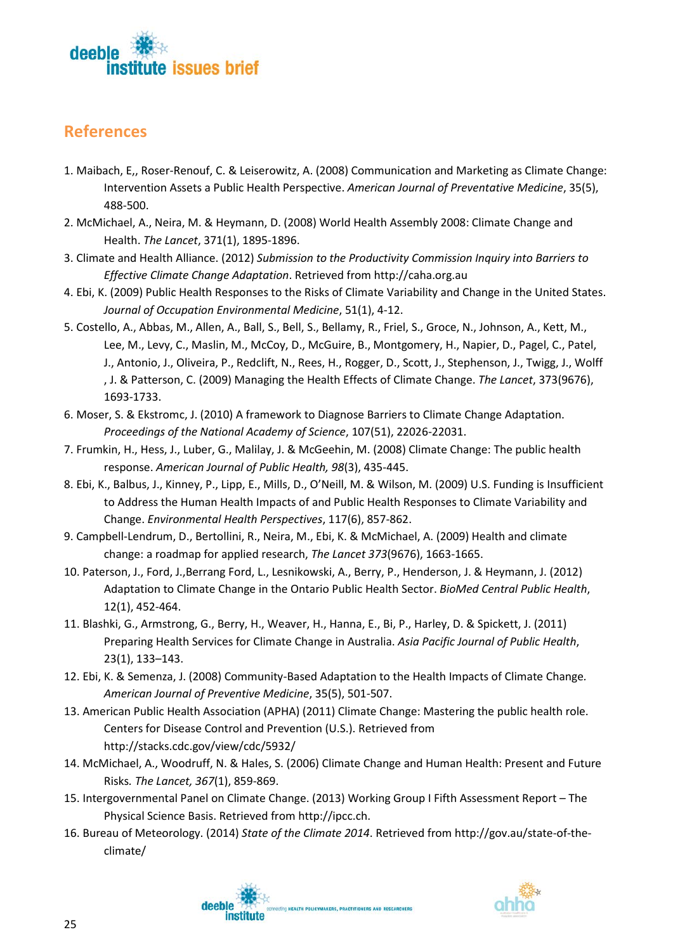

### <span id="page-28-0"></span>**References**

- 1. Maibach, E,, Roser-Renouf, C. & Leiserowitz, A. (2008) Communication and Marketing as Climate Change: Intervention Assets a Public Health Perspective. *American Journal of Preventative Medicine*, 35(5), 488-500.
- 2. McMichael, A., Neira, M. & Heymann, D. (2008) World Health Assembly 2008: Climate Change and Health. *The Lancet*, 371(1), 1895-1896.
- 3. Climate and Health Alliance. (2012) *Submission to the Productivity Commission Inquiry into Barriers to Effective Climate Change Adaptation*. Retrieved from http://caha.org.au
- 4. Ebi, K. (2009) Public Health Responses to the Risks of Climate Variability and Change in the United States. *Journal of Occupation Environmental Medicine*, 51(1), 4-12.
- 5. Costello, A., Abbas, M., Allen, A., Ball, S., Bell, S., Bellamy, R., Friel, S., Groce, N., Johnson, A., Kett, M., Lee, M., Levy, C., Maslin, M., McCoy, D., McGuire, B., Montgomery, H., Napier, D., Pagel, C., Patel, J., Antonio, J., Oliveira, P., Redclift, N., Rees, H., Rogger, D., Scott, J., Stephenson, J., Twigg, J., Wolff , J. & Patterson, C. (2009) Managing the Health Effects of Climate Change. *The Lancet*, 373(9676), 1693-1733.
- 6. Moser, S. & Ekstromc, J. (2010) A framework to Diagnose Barriers to Climate Change Adaptation. *Proceedings of the National Academy of Science*, 107(51), 22026-22031.
- 7. Frumkin, H., Hess, J., Luber, G., Malilay, J. & McGeehin, M. (2008) Climate Change: The public health response. *American Journal of Public Health, 98*(3), 435-445.
- 8. Ebi, K., Balbus, J., Kinney, P., Lipp, E., Mills, D., O'Neill, M. & Wilson, M. (2009) U.S. Funding is Insufficient to Address the Human Health Impacts of and Public Health Responses to Climate Variability and Change. *Environmental Health Perspectives*, 117(6), 857-862.
- 9. Campbell-Lendrum, D., Bertollini, R., Neira, M., Ebi, K. & McMichael, A. (2009) Health and climate change: a roadmap for applied research, *The Lancet 373*(9676), 1663-1665.
- 10. Paterson, J., Ford, J.,Berrang Ford, L., Lesnikowski, A., Berry, P., Henderson, J. & Heymann, J. (2012) Adaptation to Climate Change in the Ontario Public Health Sector. *BioMed Central Public Health*, 12(1), 452-464.
- 11. Blashki, G., Armstrong, G., Berry, H., Weaver, H., Hanna, E., Bi, P., Harley, D. & Spickett, J. (2011) Preparing Health Services for Climate Change in Australia. *Asia Pacific Journal of Public Health*, 23(1), 133–143.
- 12. Ebi, K. & Semenza, J. (2008) Community-Based Adaptation to the Health Impacts of Climate Change*. American Journal of Preventive Medicine*, 35(5), 501-507.
- 13. American Public Health Association (APHA) (2011) Climate Change: Mastering the public health role. Centers for Disease Control and Prevention (U.S.). Retrieved from http://stacks.cdc.gov/view/cdc/5932/
- 14. McMichael, A., Woodruff, N. & Hales, S. (2006) Climate Change and Human Health: Present and Future Risks*. The Lancet, 367*(1), 859-869.
- 15. Intergovernmental Panel on Climate Change. (2013) Working Group I Fifth Assessment Report The Physical Science Basis. Retrieved from http://ipcc.ch.
- 16. Bureau of Meteorology. (2014) *State of the Climate 2014*. Retrieved from http://gov.au/state-of-theclimate/

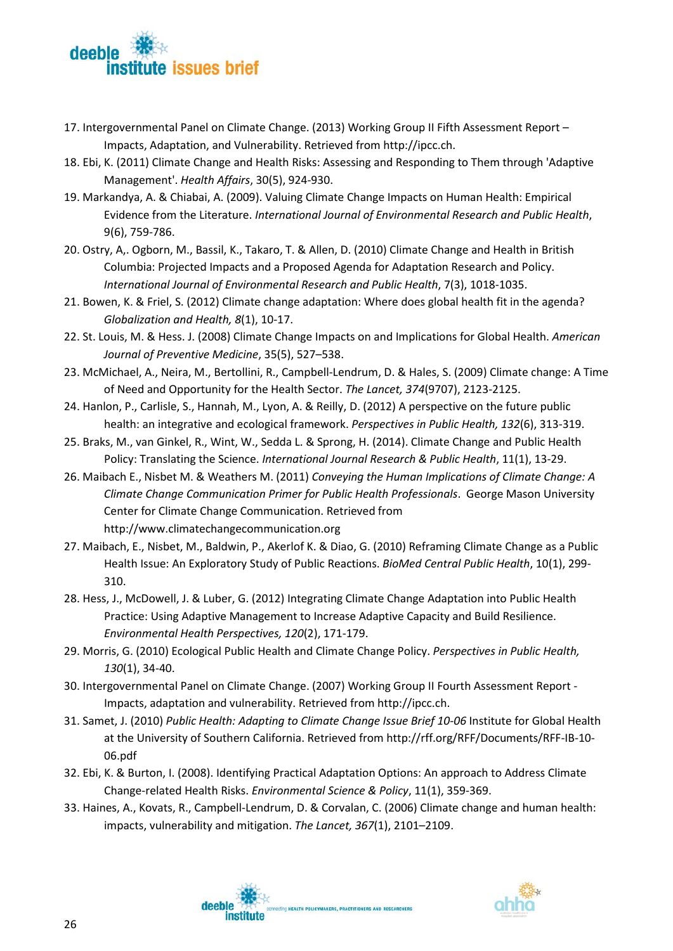

- 17. Intergovernmental Panel on Climate Change. (2013) Working Group II Fifth Assessment Report Impacts, Adaptation, and Vulnerability. Retrieved from http://ipcc.ch.
- 18. Ebi, K. (2011) Climate Change and Health Risks: Assessing and Responding to Them through 'Adaptive Management'. *Health Affairs*, 30(5), 924-930.
- 19. Markandya, A. & Chiabai, A. (2009). Valuing Climate Change Impacts on Human Health: Empirical Evidence from the Literature. *International Journal of Environmental Research and Public Health*, 9(6), 759-786.
- 20. Ostry, A,. Ogborn, M., Bassil, K., Takaro, T. & Allen, D. (2010) Climate Change and Health in British Columbia: Projected Impacts and a Proposed Agenda for Adaptation Research and Policy. *International Journal of Environmental Research and Public Health*, 7(3), 1018-1035.
- 21. Bowen, K. & Friel, S. (2012) Climate change adaptation: Where does global health fit in the agenda? *Globalization and Health, 8*(1), 10-17.
- 22. St. Louis, M. & Hess. J. (2008) Climate Change Impacts on and Implications for Global Health. *American Journal of Preventive Medicine*, 35(5), 527–538.
- 23. McMichael, A., Neira, M., Bertollini, R., Campbell-Lendrum, D. & Hales, S. (2009) Climate change: A Time of Need and Opportunity for the Health Sector. *The Lancet, 374*(9707), 2123-2125.
- 24. Hanlon, P., Carlisle, S., Hannah, M., Lyon, A. & Reilly, D. (2012) A perspective on the future public health: an integrative and ecological framework. *Perspectives in Public Health, 132*(6), 313-319.
- 25. Braks, M., van Ginkel, R., Wint, W., Sedda L. & Sprong, H. (2014). Climate Change and Public Health Policy: Translating the Science. *International Journal Research & Public Health*, 11(1), 13-29.
- 26. Maibach E., Nisbet M. & Weathers M. (2011) *Conveying the Human Implications of Climate Change: A Climate Change Communication Primer for Public Health Professionals*. George Mason University Center for Climate Change Communication. Retrieved from http://www.climatechangecommunication.org
- 27. Maibach, E., Nisbet, M., Baldwin, P., Akerlof K. & Diao, G. (2010) Reframing Climate Change as a Public Health Issue: An Exploratory Study of Public Reactions. *BioMed Central Public Health*, 10(1), 299- 310.
- 28. Hess, J., McDowell, J. & Luber, G. (2012) Integrating Climate Change Adaptation into Public Health Practice: Using Adaptive Management to Increase Adaptive Capacity and Build Resilience. *Environmental Health Perspectives, 120*(2), 171-179.
- 29. Morris, G. (2010) Ecological Public Health and Climate Change Policy. *Perspectives in Public Health, 130*(1), 34-40.
- 30. Intergovernmental Panel on Climate Change. (2007) Working Group II Fourth Assessment Report Impacts, adaptation and vulnerability. Retrieved from http://ipcc.ch.
- 31. Samet, J. (2010) *Public Health: Adapting to Climate Change Issue Brief 10-06* Institute for Global Health at the University of Southern California. Retrieved from http://rff.org/RFF/Documents/RFF-IB-10- 06.pdf
- 32. Ebi, K. & Burton, I. (2008). Identifying Practical Adaptation Options: An approach to Address Climate Change-related Health Risks. *Environmental Science & Policy*, 11(1), 359-369.
- 33. Haines, A., Kovats, R., Campbell-Lendrum, D. & Corvalan, C. (2006) Climate change and human health: impacts, vulnerability and mitigation. *The Lancet, 367*(1), 2101–2109.



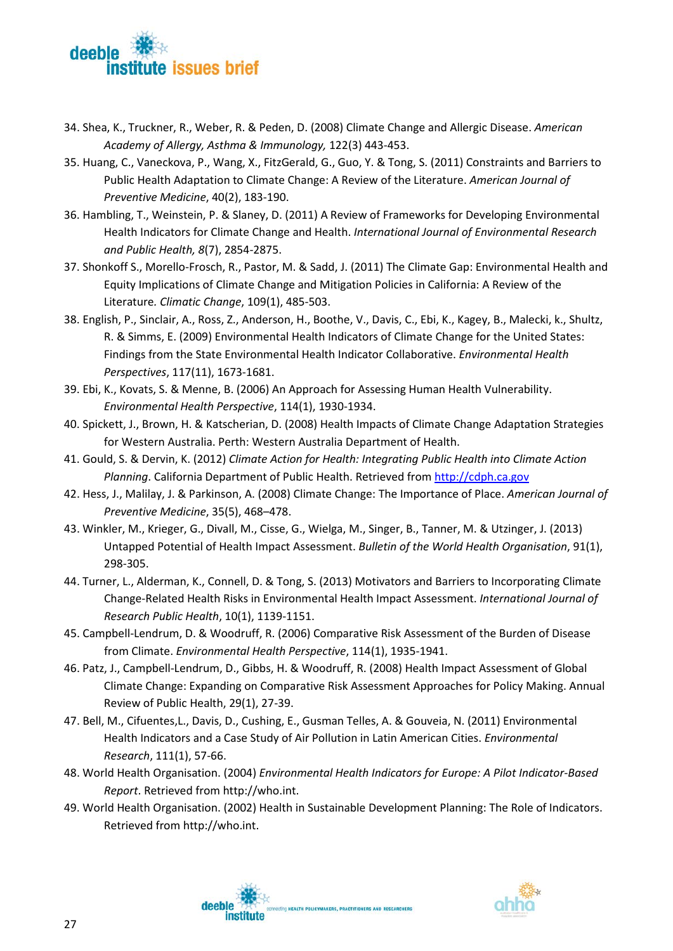

- 34. Shea, K., Truckner, R., Weber, R. & Peden, D. (2008) Climate Change and Allergic Disease. *American Academy of Allergy, Asthma & Immunology,* 122(3) 443-453.
- 35. Huang, C., Vaneckova, P., Wang, X., FitzGerald, G., Guo, Y. & Tong, S. (2011) Constraints and Barriers to Public Health Adaptation to Climate Change: A Review of the Literature. *American Journal of Preventive Medicine*, 40(2), 183-190.
- 36. Hambling, T., Weinstein, P. & Slaney, D. (2011) A Review of Frameworks for Developing Environmental Health Indicators for Climate Change and Health. *International Journal of Environmental Research and Public Health, 8*(7), 2854-2875.
- 37. Shonkoff S., Morello-Frosch, R., Pastor, M. & Sadd, J. (2011) The Climate Gap: Environmental Health and Equity Implications of Climate Change and Mitigation Policies in California: A Review of the Literature*. Climatic Change*, 109(1), 485-503.
- 38. English, P., Sinclair, A., Ross, Z., Anderson, H., Boothe, V., Davis, C., Ebi, K., Kagey, B., Malecki, k., Shultz, R. & Simms, E. (2009) Environmental Health Indicators of Climate Change for the United States: Findings from the State Environmental Health Indicator Collaborative. *Environmental Health Perspectives*, 117(11), 1673-1681.
- 39. Ebi, K., Kovats, S. & Menne, B. (2006) An Approach for Assessing Human Health Vulnerability. *Environmental Health Perspective*, 114(1), 1930-1934.
- 40. Spickett, J., Brown, H. & Katscherian, D. (2008) Health Impacts of Climate Change Adaptation Strategies for Western Australia. Perth: Western Australia Department of Health.
- 41. Gould, S. & Dervin, K. (2012) *Climate Action for Health: Integrating Public Health into Climate Action Planning*. California Department of Public Health. Retrieved from [http://cdph.ca.gov](http://cdph.ca.gov/)
- 42. Hess, J., Malilay, J. & Parkinson, A. (2008) Climate Change: The Importance of Place. *American Journal of Preventive Medicine*, 35(5), 468–478.
- 43. Winkler, M., Krieger, G., Divall, M., Cisse, G., Wielga, M., Singer, B., Tanner, M. & Utzinger, J. (2013) Untapped Potential of Health Impact Assessment. *Bulletin of the World Health Organisation*, 91(1), 298-305.
- 44. Turner, L., Alderman, K., Connell, D. & Tong, S. (2013) Motivators and Barriers to Incorporating Climate Change-Related Health Risks in Environmental Health Impact Assessment. *International Journal of Research Public Health*, 10(1), 1139-1151.
- 45. Campbell-Lendrum, D. & Woodruff, R. (2006) Comparative Risk Assessment of the Burden of Disease from Climate. *Environmental Health Perspective*, 114(1), 1935-1941.
- 46. Patz, J., Campbell-Lendrum, D., Gibbs, H. & Woodruff, R. (2008) Health Impact Assessment of Global Climate Change: Expanding on Comparative Risk Assessment Approaches for Policy Making. Annual Review of Public Health, 29(1), 27-39.
- 47. Bell, M., Cifuentes,L., Davis, D., Cushing, E., Gusman Telles, A. & Gouveia, N. (2011) Environmental Health Indicators and a Case Study of Air Pollution in Latin American Cities. *Environmental Research*, 111(1), 57-66.
- 48. World Health Organisation. (2004) *Environmental Health Indicators for Europe: A Pilot Indicator-Based Report*. Retrieved from http://who.int.
- 49. World Health Organisation. (2002) Health in Sustainable Development Planning: The Role of Indicators. Retrieved from http://who.int.



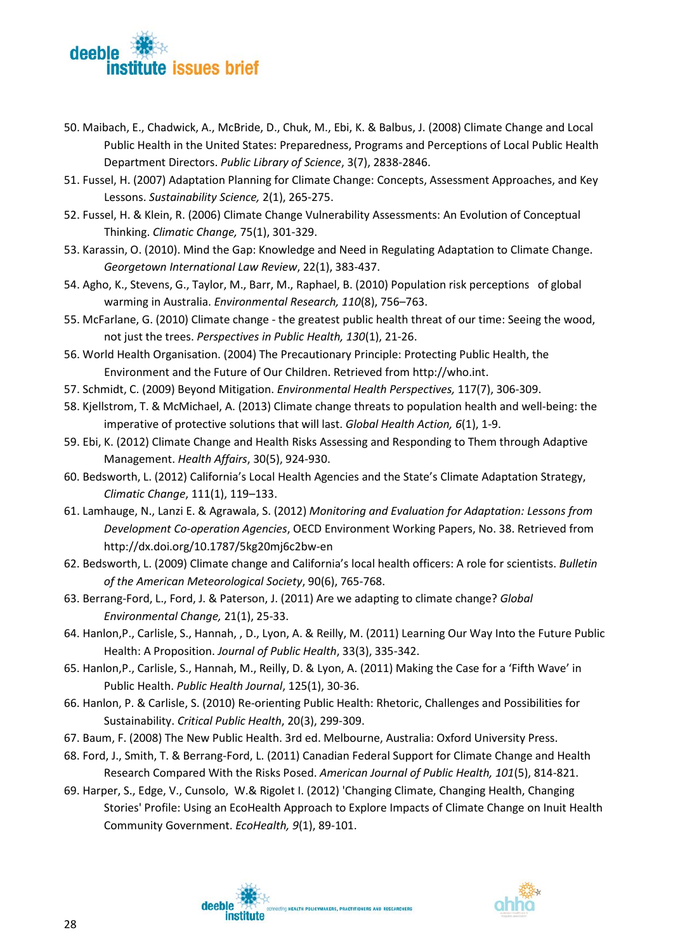

- 50. Maibach, E., Chadwick, A., McBride, D., Chuk, M., Ebi, K. & Balbus, J. (2008) Climate Change and Local Public Health in the United States: Preparedness, Programs and Perceptions of Local Public Health Department Directors. *Public Library of Science*, 3(7), 2838-2846.
- 51. Fussel, H. (2007) Adaptation Planning for Climate Change: Concepts, Assessment Approaches, and Key Lessons. *Sustainability Science,* 2(1), 265-275.
- 52. Fussel, H. & Klein, R. (2006) Climate Change Vulnerability Assessments: An Evolution of Conceptual Thinking. *Climatic Change,* 75(1), 301-329.
- 53. Karassin, O. (2010). Mind the Gap: Knowledge and Need in Regulating Adaptation to Climate Change. *Georgetown International Law Review*, 22(1), 383-437.
- 54. Agho, K., Stevens, G., Taylor, M., Barr, M., Raphael, B. (2010) Population risk perceptions of global warming in Australia. *Environmental Research, 110*(8), 756–763.
- 55. McFarlane, G. (2010) Climate change the greatest public health threat of our time: Seeing the wood, not just the trees. *Perspectives in Public Health, 130*(1), 21-26.
- 56. World Health Organisation. (2004) The Precautionary Principle: Protecting Public Health, the Environment and the Future of Our Children. Retrieved from http://who.int.
- 57. Schmidt, C. (2009) Beyond Mitigation. *Environmental Health Perspectives,* 117(7), 306-309.
- 58. Kjellstrom, T. & McMichael, A. (2013) Climate change threats to population health and well-being: the imperative of protective solutions that will last. *Global Health Action, 6*(1), 1-9.
- 59. Ebi, K. (2012) Climate Change and Health Risks Assessing and Responding to Them through Adaptive Management. *Health Affairs*, 30(5), 924-930.
- 60. Bedsworth, L. (2012) California's Local Health Agencies and the State's Climate Adaptation Strategy, *Climatic Change*, 111(1), 119–133.
- 61. Lamhauge, N., Lanzi E. & Agrawala, S. (2012) *Monitoring and Evaluation for Adaptation: Lessons from Development Co-operation Agencies*, OECD Environment Working Papers, No. 38. Retrieved from http://dx.doi.org/10.1787/5kg20mj6c2bw-en
- 62. Bedsworth, L. (2009) Climate change and California's local health officers: A role for scientists. *Bulletin of the American Meteorological Society*, 90(6), 765-768.
- 63. Berrang-Ford, L., Ford, J. & Paterson, J. (2011) Are we adapting to climate change? *Global Environmental Change,* 21(1), 25-33.
- 64. Hanlon,P., Carlisle, S., Hannah, , D., Lyon, A. & Reilly, M. (2011) Learning Our Way Into the Future Public Health: A Proposition. *Journal of Public Health*, 33(3), 335-342.
- 65. Hanlon,P., Carlisle, S., Hannah, M., Reilly, D. & Lyon, A. (2011) Making the Case for a 'Fifth Wave' in Public Health. *Public Health Journal*, 125(1), 30-36.
- 66. Hanlon, P. & Carlisle, S. (2010) Re-orienting Public Health: Rhetoric, Challenges and Possibilities for Sustainability. *Critical Public Health*, 20(3), 299-309.
- 67. Baum, F. (2008) The New Public Health. 3rd ed. Melbourne, Australia: Oxford University Press.
- 68. Ford, J., Smith, T. & Berrang-Ford, L. (2011) Canadian Federal Support for Climate Change and Health Research Compared With the Risks Posed. *American Journal of Public Health, 101*(5), 814-821.
- 69. Harper, S., Edge, V., Cunsolo, W.& Rigolet I. (2012) 'Changing Climate, Changing Health, Changing Stories' Profile: Using an EcoHealth Approach to Explore Impacts of Climate Change on Inuit Health Community Government. *EcoHealth, 9*(1), 89-101.